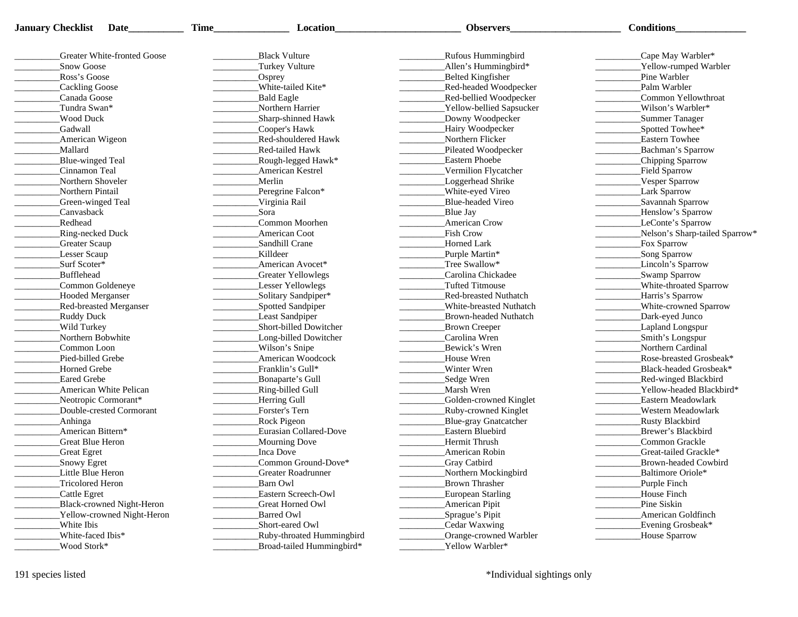| <b>January Checklist Date</b>   | <b>Time</b> | <b>Location</b>              | Observers                    | <b>Conditions</b>              |
|---------------------------------|-------------|------------------------------|------------------------------|--------------------------------|
| Greater White-fronted Goose     |             | <b>Black Vulture</b>         | <b>Rufous Hummingbird</b>    | _Cape May Warbler*             |
| Snow Goose                      |             | Turkey Vulture               | Allen's Hummingbird*         | _Yellow-rumped Warbler         |
| Ross's Goose                    |             |                              | Belted Kingfisher            | Pine Warbler                   |
| Cackling Goose                  |             | Osprey<br>White-tailed Kite* | Red-headed Woodpecker        | Palm Warbler                   |
| Canada Goose                    |             | <b>Bald Eagle</b>            | Red-bellied Woodpecker       | Common Yellowthroat            |
| Tundra Swan*                    |             | Northern Harrier             | Yellow-bellied Sapsucker     | Wilson's Warbler*              |
| <b>Wood Duck</b>                |             | Sharp-shinned Hawk           | Downy Woodpecker             | Summer Tanager                 |
| Gadwall                         |             | Cooper's Hawk                | Hairy Woodpecker             | _Spotted Towhee*               |
| American Wigeon                 |             | Red-shouldered Hawk          | Northern Flicker             | <b>Eastern Towhee</b>          |
| Mallard                         |             | Red-tailed Hawk              | Pileated Woodpecker          | Bachman's Sparrow              |
| Blue-winged Teal                |             | Rough-legged Hawk*           | <b>Eastern Phoebe</b>        | Chipping Sparrow               |
| Cinnamon Teal                   |             | <b>American Kestrel</b>      | Vermilion Flycatcher         | Field Sparrow                  |
| Northern Shoveler               |             | Merlin                       | Loggerhead Shrike            | Vesper Sparrow                 |
| Northern Pintail                |             | Peregrine Falcon*            |                              | Lark Sparrow                   |
|                                 |             |                              | White-eyed Vireo             |                                |
| Green-winged Teal<br>Canvasback |             | Virginia Rail<br>Sora        | Blue-headed Vireo            | Savannah Sparrow               |
|                                 |             |                              | Blue Jay                     | _Henslow's Sparrow             |
| Redhead                         |             | Common Moorhen               | <b>American Crow</b>         | LeConte's Sparrow              |
| <b>Ring-necked Duck</b>         |             | American Coot                | Fish Crow                    | Nelson's Sharp-tailed Sparrow* |
| Greater Scaup                   |             | Sandhill Crane               | Horned Lark                  | Fox Sparrow                    |
| Lesser Scaup                    |             | Killdeer                     | Purple Martin*               | Song Sparrow                   |
| Surf Scoter*                    |             | American Avocet*             | Tree Swallow*                | Lincoln's Sparrow              |
| <b>Bufflehead</b>               |             | Greater Yellowlegs           | Carolina Chickadee           | Swamp Sparrow                  |
| Common Goldeneye                |             | Lesser Yellowlegs            | Tufted Titmouse              | White-throated Sparrow         |
| <b>Hooded Merganser</b>         |             | _Solitary Sandpiper*         | Red-breasted Nuthatch        | _Harris's Sparrow              |
| <b>Red-breasted Merganser</b>   |             | Spotted Sandpiper            | White-breasted Nuthatch      | White-crowned Sparrow          |
| Ruddy Duck                      |             | Least Sandpiper              | <b>Brown-headed Nuthatch</b> | Dark-eyed Junco                |
| Wild Turkey                     |             | Short-billed Dowitcher       | Brown Creeper                | Lapland Longspur               |
| Northern Bobwhite               |             | Long-billed Dowitcher        | Carolina Wren                | Smith's Longspur               |
| Common Loon                     |             | Wilson's Snipe               | Bewick's Wren                | Northern Cardinal              |
| Pied-billed Grebe               |             | American Woodcock            | House Wren                   | Rose-breasted Grosbeak*        |
| Horned Grebe                    |             | Franklin's Gull*             | Winter Wren                  | Black-headed Grosbeak*         |
| <b>Eared Grebe</b>              |             | Bonaparte's Gull             | Sedge Wren                   | <b>Red-winged Blackbird</b>    |
| American White Pelican          |             | Ring-billed Gull             | Marsh Wren                   | Yellow-headed Blackbird*       |
| Neotropic Cormorant*            |             | Herring Gull                 | Golden-crowned Kinglet       | Eastern Meadowlark             |
| Double-crested Cormorant        |             | Forster's Tern               | Ruby-crowned Kinglet         | Western Meadowlark             |
| Anhinga                         |             | <b>Rock Pigeon</b>           | Blue-gray Gnatcatcher        | Rusty Blackbird                |
| American Bittern*               |             | Eurasian Collared-Dove       | Eastern Bluebird             | Brewer's Blackbird             |
| Great Blue Heron                |             | Mourning Dove                | Hermit Thrush                | Common Grackle                 |
| <b>Great Egret</b>              |             | <b>Inca Dove</b>             | American Robin               | Great-tailed Grackle*          |
| Snowy Egret                     |             | Common Ground-Dove*          | Gray Catbird                 | Brown-headed Cowbird           |
| Little Blue Heron               |             | Greater Roadrunner           | Northern Mockingbird         | Baltimore Oriole*              |
| Tricolored Heron                |             | Barn Owl                     | <b>Brown Thrasher</b>        | Purple Finch                   |
| Cattle Egret                    |             | Eastern Screech-Owl          | <b>European Starling</b>     | House Finch                    |
| Black-crowned Night-Heron       |             | Great Horned Owl             | <b>American Pipit</b>        | Pine Siskin                    |
| Yellow-crowned Night-Heron      |             | Barred Owl                   | Sprague's Pipit              | <b>American Goldfinch</b>      |
| White Ibis                      |             | Short-eared Owl              | Cedar Waxwing                | Evening Grosbeak*              |
| White-faced Ibis*               |             | Ruby-throated Hummingbird    | Orange-crowned Warbler       | House Sparrow                  |
| Wood Stork*                     |             | Broad-tailed Hummingbird*    | Yellow Warbler*              |                                |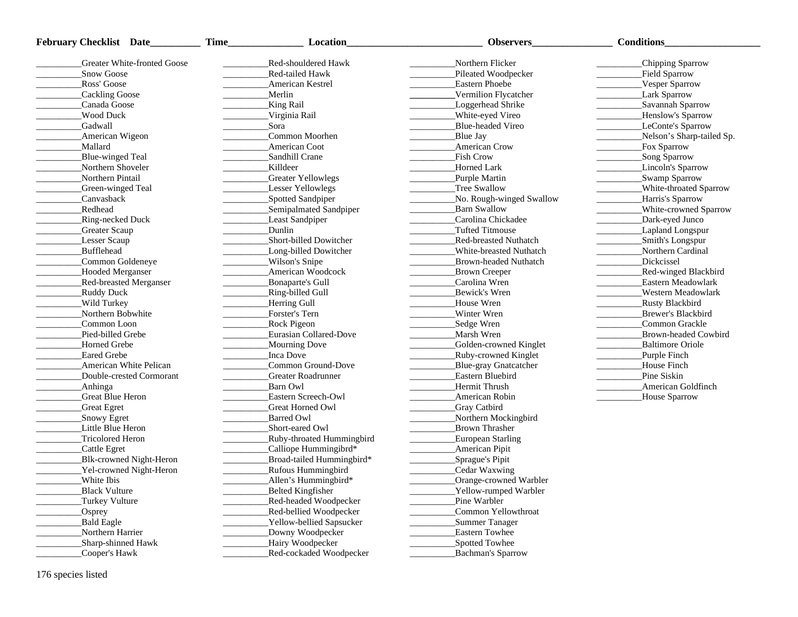| Red-shouldered Hawk<br>Northern Flicker<br>Chipping Sparrow<br>Greater White-fronted Goose<br>Snow Goose<br>Red-tailed Hawk<br>Pileated Woodpecker<br>Field Sparrow<br>Ross' Goose<br><b>Eastern Phoebe</b><br>Vesper Sparrow<br><b>American Kestrel</b><br>Cackling Goose<br>Merlin<br>Vermilion Flycatcher<br><b>Lark Sparrow</b><br>Canada Goose<br>King Rail<br>Loggerhead Shrike<br>Savannah Sparrow<br><b>Wood Duck</b><br>Virginia Rail<br>White-eyed Vireo<br>_Henslow's Sparrow<br>Gadwall<br>Sora<br>Blue-headed Vireo<br>LeConte's Sparrow<br>American Wigeon<br>Common Moorhen<br>Nelson's Sharp-tailed Sp.<br>Blue Jay<br>Mallard<br>American Coot<br><b>American Crow</b><br>Fox Sparrow<br><b>Fish Crow</b><br>Blue-winged Teal<br>Sandhill Crane<br>Song Sparrow<br>Northern Shoveler<br><b>Killdeer</b><br>Horned Lark<br>Lincoln's Sparrow<br>Northern Pintail<br>Greater Yellowlegs<br>Swamp Sparrow<br>Purple Martin<br>White-throated Sparrow<br>Green-winged Teal<br>Lesser Yellowlegs<br>Tree Swallow<br>Spotted Sandpiper<br>No. Rough-winged Swallow<br>Harris's Sparrow<br>Canvasback<br>Redhead<br>Semipalmated Sandpiper<br>Barn Swallow<br>White-crowned Sparrow<br>Least Sandpiper<br>Dark-eyed Junco<br>Ring-necked Duck<br>Carolina Chickadee<br>Dunlin<br><b>Greater Scaup</b><br><b>Tufted Titmouse</b><br>Lapland Longspur<br>Lesser Scaup<br>Short-billed Dowitcher<br>Smith's Longspur<br><b>Red-breasted Nuthatch</b><br>Bufflehead<br>Long-billed Dowitcher<br>Northern Cardinal<br>White-breasted Nuthatch<br>Common Goldeneye<br>Wilson's Snipe<br>Dickcissel<br><b>Brown-headed Nuthatch</b><br>American Woodcock<br><b>Hooded Merganser</b><br>Brown Creeper<br><b>Red-winged Blackbird</b><br>Bonaparte's Gull<br>Carolina Wren<br><b>Red-breasted Merganser</b><br>Eastern Meadowlark<br>Ring-billed Gull<br>Bewick's Wren<br>Ruddy Duck<br>Western Meadowlark<br>Wild Turkey<br>Herring Gull<br>House Wren<br><b>Rusty Blackbird</b><br>Forster's Tern<br>Northern Bobwhite<br>Winter Wren<br>Brewer's Blackbird<br>Common Loon<br>Rock Pigeon<br>_Sedge Wren<br>Common Grackle<br>Pied-billed Grebe<br>Eurasian Collared-Dove<br>Marsh Wren<br>Brown-headed Cowbird<br>Horned Grebe<br>Mourning Dove<br>Golden-crowned Kinglet<br><b>Baltimore Oriole</b><br><b>Eared Grebe</b><br>Inca Dove<br>_Ruby-crowned Kinglet<br>Purple Finch<br>Common Ground-Dove<br>American White Pelican<br>Blue-gray Gnatcatcher<br>House Finch<br>Pine Siskin<br>Double-crested Cormorant<br>Greater Roadrunner<br>Eastern Bluebird<br>Anhinga<br>Barn Owl<br>Hermit Thrush<br>American Goldfinch<br>Great Blue Heron<br>Eastern Screech-Owl<br>American Robin<br>House Sparrow<br>$\overline{\phantom{a}}$<br>Great Egret<br>Great Horned Owl<br>Gray Catbird<br>Snowy Egret<br><b>Barred Owl</b><br>Northern Mockingbird<br>Little Blue Heron<br>Short-eared Owl<br><b>Brown Thrasher</b><br>Tricolored Heron<br><b>Ruby-throated Hummingbird</b><br><b>European Starling</b><br>_Calliope Hummingibrd*<br>Cattle Egret<br><b>American Pipit</b><br>Blk-crowned Night-Heron<br>Broad-tailed Hummingbird*<br>Sprague's Pipit<br>Yel-crowned Night-Heron<br>Rufous Hummingbird<br>Cedar Waxwing<br>_Allen's Hummingbird*<br>Orange-crowned Warbler<br>White Ibis<br><b>Black Vulture</b><br>Belted Kingfisher<br>Yellow-rumped Warbler<br>Pine Warbler<br>Red-headed Woodpecker<br>Turkey Vulture<br>_Osprey<br>_Red-bellied Woodpecker<br>Common Yellowthroat<br><b>Yellow-bellied Sapsucker</b><br>Bald Eagle<br>Summer Tanager<br>Northern Harrier<br>Downy Woodpecker<br>Eastern Towhee<br>Hairy Woodpecker<br>Sharp-shinned Hawk<br>Spotted Towhee | <b>February Checklist Date</b> | Location<br><b>Time</b> | <b>Observers</b>  | <b>Conditions</b> |
|---------------------------------------------------------------------------------------------------------------------------------------------------------------------------------------------------------------------------------------------------------------------------------------------------------------------------------------------------------------------------------------------------------------------------------------------------------------------------------------------------------------------------------------------------------------------------------------------------------------------------------------------------------------------------------------------------------------------------------------------------------------------------------------------------------------------------------------------------------------------------------------------------------------------------------------------------------------------------------------------------------------------------------------------------------------------------------------------------------------------------------------------------------------------------------------------------------------------------------------------------------------------------------------------------------------------------------------------------------------------------------------------------------------------------------------------------------------------------------------------------------------------------------------------------------------------------------------------------------------------------------------------------------------------------------------------------------------------------------------------------------------------------------------------------------------------------------------------------------------------------------------------------------------------------------------------------------------------------------------------------------------------------------------------------------------------------------------------------------------------------------------------------------------------------------------------------------------------------------------------------------------------------------------------------------------------------------------------------------------------------------------------------------------------------------------------------------------------------------------------------------------------------------------------------------------------------------------------------------------------------------------------------------------------------------------------------------------------------------------------------------------------------------------------------------------------------------------------------------------------------------------------------------------------------------------------------------------------------------------------------------------------------------------------------------------------------------------------------------------------------------------------------------------------------------------------------------------------------------------------------------------------------------------------------------------------------------------------------------------------------------------------------------------------------------------------------------------------------------------------------------------------------------------------------------------------------------------------------------------------------------------------------------------------------------------|--------------------------------|-------------------------|-------------------|-------------------|
|                                                                                                                                                                                                                                                                                                                                                                                                                                                                                                                                                                                                                                                                                                                                                                                                                                                                                                                                                                                                                                                                                                                                                                                                                                                                                                                                                                                                                                                                                                                                                                                                                                                                                                                                                                                                                                                                                                                                                                                                                                                                                                                                                                                                                                                                                                                                                                                                                                                                                                                                                                                                                                                                                                                                                                                                                                                                                                                                                                                                                                                                                                                                                                                                                                                                                                                                                                                                                                                                                                                                                                                                                                                                                       |                                |                         |                   |                   |
|                                                                                                                                                                                                                                                                                                                                                                                                                                                                                                                                                                                                                                                                                                                                                                                                                                                                                                                                                                                                                                                                                                                                                                                                                                                                                                                                                                                                                                                                                                                                                                                                                                                                                                                                                                                                                                                                                                                                                                                                                                                                                                                                                                                                                                                                                                                                                                                                                                                                                                                                                                                                                                                                                                                                                                                                                                                                                                                                                                                                                                                                                                                                                                                                                                                                                                                                                                                                                                                                                                                                                                                                                                                                                       |                                |                         |                   |                   |
|                                                                                                                                                                                                                                                                                                                                                                                                                                                                                                                                                                                                                                                                                                                                                                                                                                                                                                                                                                                                                                                                                                                                                                                                                                                                                                                                                                                                                                                                                                                                                                                                                                                                                                                                                                                                                                                                                                                                                                                                                                                                                                                                                                                                                                                                                                                                                                                                                                                                                                                                                                                                                                                                                                                                                                                                                                                                                                                                                                                                                                                                                                                                                                                                                                                                                                                                                                                                                                                                                                                                                                                                                                                                                       |                                |                         |                   |                   |
|                                                                                                                                                                                                                                                                                                                                                                                                                                                                                                                                                                                                                                                                                                                                                                                                                                                                                                                                                                                                                                                                                                                                                                                                                                                                                                                                                                                                                                                                                                                                                                                                                                                                                                                                                                                                                                                                                                                                                                                                                                                                                                                                                                                                                                                                                                                                                                                                                                                                                                                                                                                                                                                                                                                                                                                                                                                                                                                                                                                                                                                                                                                                                                                                                                                                                                                                                                                                                                                                                                                                                                                                                                                                                       |                                |                         |                   |                   |
|                                                                                                                                                                                                                                                                                                                                                                                                                                                                                                                                                                                                                                                                                                                                                                                                                                                                                                                                                                                                                                                                                                                                                                                                                                                                                                                                                                                                                                                                                                                                                                                                                                                                                                                                                                                                                                                                                                                                                                                                                                                                                                                                                                                                                                                                                                                                                                                                                                                                                                                                                                                                                                                                                                                                                                                                                                                                                                                                                                                                                                                                                                                                                                                                                                                                                                                                                                                                                                                                                                                                                                                                                                                                                       |                                |                         |                   |                   |
|                                                                                                                                                                                                                                                                                                                                                                                                                                                                                                                                                                                                                                                                                                                                                                                                                                                                                                                                                                                                                                                                                                                                                                                                                                                                                                                                                                                                                                                                                                                                                                                                                                                                                                                                                                                                                                                                                                                                                                                                                                                                                                                                                                                                                                                                                                                                                                                                                                                                                                                                                                                                                                                                                                                                                                                                                                                                                                                                                                                                                                                                                                                                                                                                                                                                                                                                                                                                                                                                                                                                                                                                                                                                                       |                                |                         |                   |                   |
|                                                                                                                                                                                                                                                                                                                                                                                                                                                                                                                                                                                                                                                                                                                                                                                                                                                                                                                                                                                                                                                                                                                                                                                                                                                                                                                                                                                                                                                                                                                                                                                                                                                                                                                                                                                                                                                                                                                                                                                                                                                                                                                                                                                                                                                                                                                                                                                                                                                                                                                                                                                                                                                                                                                                                                                                                                                                                                                                                                                                                                                                                                                                                                                                                                                                                                                                                                                                                                                                                                                                                                                                                                                                                       |                                |                         |                   |                   |
|                                                                                                                                                                                                                                                                                                                                                                                                                                                                                                                                                                                                                                                                                                                                                                                                                                                                                                                                                                                                                                                                                                                                                                                                                                                                                                                                                                                                                                                                                                                                                                                                                                                                                                                                                                                                                                                                                                                                                                                                                                                                                                                                                                                                                                                                                                                                                                                                                                                                                                                                                                                                                                                                                                                                                                                                                                                                                                                                                                                                                                                                                                                                                                                                                                                                                                                                                                                                                                                                                                                                                                                                                                                                                       |                                |                         |                   |                   |
|                                                                                                                                                                                                                                                                                                                                                                                                                                                                                                                                                                                                                                                                                                                                                                                                                                                                                                                                                                                                                                                                                                                                                                                                                                                                                                                                                                                                                                                                                                                                                                                                                                                                                                                                                                                                                                                                                                                                                                                                                                                                                                                                                                                                                                                                                                                                                                                                                                                                                                                                                                                                                                                                                                                                                                                                                                                                                                                                                                                                                                                                                                                                                                                                                                                                                                                                                                                                                                                                                                                                                                                                                                                                                       |                                |                         |                   |                   |
|                                                                                                                                                                                                                                                                                                                                                                                                                                                                                                                                                                                                                                                                                                                                                                                                                                                                                                                                                                                                                                                                                                                                                                                                                                                                                                                                                                                                                                                                                                                                                                                                                                                                                                                                                                                                                                                                                                                                                                                                                                                                                                                                                                                                                                                                                                                                                                                                                                                                                                                                                                                                                                                                                                                                                                                                                                                                                                                                                                                                                                                                                                                                                                                                                                                                                                                                                                                                                                                                                                                                                                                                                                                                                       |                                |                         |                   |                   |
|                                                                                                                                                                                                                                                                                                                                                                                                                                                                                                                                                                                                                                                                                                                                                                                                                                                                                                                                                                                                                                                                                                                                                                                                                                                                                                                                                                                                                                                                                                                                                                                                                                                                                                                                                                                                                                                                                                                                                                                                                                                                                                                                                                                                                                                                                                                                                                                                                                                                                                                                                                                                                                                                                                                                                                                                                                                                                                                                                                                                                                                                                                                                                                                                                                                                                                                                                                                                                                                                                                                                                                                                                                                                                       |                                |                         |                   |                   |
|                                                                                                                                                                                                                                                                                                                                                                                                                                                                                                                                                                                                                                                                                                                                                                                                                                                                                                                                                                                                                                                                                                                                                                                                                                                                                                                                                                                                                                                                                                                                                                                                                                                                                                                                                                                                                                                                                                                                                                                                                                                                                                                                                                                                                                                                                                                                                                                                                                                                                                                                                                                                                                                                                                                                                                                                                                                                                                                                                                                                                                                                                                                                                                                                                                                                                                                                                                                                                                                                                                                                                                                                                                                                                       |                                |                         |                   |                   |
|                                                                                                                                                                                                                                                                                                                                                                                                                                                                                                                                                                                                                                                                                                                                                                                                                                                                                                                                                                                                                                                                                                                                                                                                                                                                                                                                                                                                                                                                                                                                                                                                                                                                                                                                                                                                                                                                                                                                                                                                                                                                                                                                                                                                                                                                                                                                                                                                                                                                                                                                                                                                                                                                                                                                                                                                                                                                                                                                                                                                                                                                                                                                                                                                                                                                                                                                                                                                                                                                                                                                                                                                                                                                                       |                                |                         |                   |                   |
|                                                                                                                                                                                                                                                                                                                                                                                                                                                                                                                                                                                                                                                                                                                                                                                                                                                                                                                                                                                                                                                                                                                                                                                                                                                                                                                                                                                                                                                                                                                                                                                                                                                                                                                                                                                                                                                                                                                                                                                                                                                                                                                                                                                                                                                                                                                                                                                                                                                                                                                                                                                                                                                                                                                                                                                                                                                                                                                                                                                                                                                                                                                                                                                                                                                                                                                                                                                                                                                                                                                                                                                                                                                                                       |                                |                         |                   |                   |
|                                                                                                                                                                                                                                                                                                                                                                                                                                                                                                                                                                                                                                                                                                                                                                                                                                                                                                                                                                                                                                                                                                                                                                                                                                                                                                                                                                                                                                                                                                                                                                                                                                                                                                                                                                                                                                                                                                                                                                                                                                                                                                                                                                                                                                                                                                                                                                                                                                                                                                                                                                                                                                                                                                                                                                                                                                                                                                                                                                                                                                                                                                                                                                                                                                                                                                                                                                                                                                                                                                                                                                                                                                                                                       |                                |                         |                   |                   |
|                                                                                                                                                                                                                                                                                                                                                                                                                                                                                                                                                                                                                                                                                                                                                                                                                                                                                                                                                                                                                                                                                                                                                                                                                                                                                                                                                                                                                                                                                                                                                                                                                                                                                                                                                                                                                                                                                                                                                                                                                                                                                                                                                                                                                                                                                                                                                                                                                                                                                                                                                                                                                                                                                                                                                                                                                                                                                                                                                                                                                                                                                                                                                                                                                                                                                                                                                                                                                                                                                                                                                                                                                                                                                       |                                |                         |                   |                   |
|                                                                                                                                                                                                                                                                                                                                                                                                                                                                                                                                                                                                                                                                                                                                                                                                                                                                                                                                                                                                                                                                                                                                                                                                                                                                                                                                                                                                                                                                                                                                                                                                                                                                                                                                                                                                                                                                                                                                                                                                                                                                                                                                                                                                                                                                                                                                                                                                                                                                                                                                                                                                                                                                                                                                                                                                                                                                                                                                                                                                                                                                                                                                                                                                                                                                                                                                                                                                                                                                                                                                                                                                                                                                                       |                                |                         |                   |                   |
|                                                                                                                                                                                                                                                                                                                                                                                                                                                                                                                                                                                                                                                                                                                                                                                                                                                                                                                                                                                                                                                                                                                                                                                                                                                                                                                                                                                                                                                                                                                                                                                                                                                                                                                                                                                                                                                                                                                                                                                                                                                                                                                                                                                                                                                                                                                                                                                                                                                                                                                                                                                                                                                                                                                                                                                                                                                                                                                                                                                                                                                                                                                                                                                                                                                                                                                                                                                                                                                                                                                                                                                                                                                                                       |                                |                         |                   |                   |
|                                                                                                                                                                                                                                                                                                                                                                                                                                                                                                                                                                                                                                                                                                                                                                                                                                                                                                                                                                                                                                                                                                                                                                                                                                                                                                                                                                                                                                                                                                                                                                                                                                                                                                                                                                                                                                                                                                                                                                                                                                                                                                                                                                                                                                                                                                                                                                                                                                                                                                                                                                                                                                                                                                                                                                                                                                                                                                                                                                                                                                                                                                                                                                                                                                                                                                                                                                                                                                                                                                                                                                                                                                                                                       |                                |                         |                   |                   |
|                                                                                                                                                                                                                                                                                                                                                                                                                                                                                                                                                                                                                                                                                                                                                                                                                                                                                                                                                                                                                                                                                                                                                                                                                                                                                                                                                                                                                                                                                                                                                                                                                                                                                                                                                                                                                                                                                                                                                                                                                                                                                                                                                                                                                                                                                                                                                                                                                                                                                                                                                                                                                                                                                                                                                                                                                                                                                                                                                                                                                                                                                                                                                                                                                                                                                                                                                                                                                                                                                                                                                                                                                                                                                       |                                |                         |                   |                   |
|                                                                                                                                                                                                                                                                                                                                                                                                                                                                                                                                                                                                                                                                                                                                                                                                                                                                                                                                                                                                                                                                                                                                                                                                                                                                                                                                                                                                                                                                                                                                                                                                                                                                                                                                                                                                                                                                                                                                                                                                                                                                                                                                                                                                                                                                                                                                                                                                                                                                                                                                                                                                                                                                                                                                                                                                                                                                                                                                                                                                                                                                                                                                                                                                                                                                                                                                                                                                                                                                                                                                                                                                                                                                                       |                                |                         |                   |                   |
|                                                                                                                                                                                                                                                                                                                                                                                                                                                                                                                                                                                                                                                                                                                                                                                                                                                                                                                                                                                                                                                                                                                                                                                                                                                                                                                                                                                                                                                                                                                                                                                                                                                                                                                                                                                                                                                                                                                                                                                                                                                                                                                                                                                                                                                                                                                                                                                                                                                                                                                                                                                                                                                                                                                                                                                                                                                                                                                                                                                                                                                                                                                                                                                                                                                                                                                                                                                                                                                                                                                                                                                                                                                                                       |                                |                         |                   |                   |
|                                                                                                                                                                                                                                                                                                                                                                                                                                                                                                                                                                                                                                                                                                                                                                                                                                                                                                                                                                                                                                                                                                                                                                                                                                                                                                                                                                                                                                                                                                                                                                                                                                                                                                                                                                                                                                                                                                                                                                                                                                                                                                                                                                                                                                                                                                                                                                                                                                                                                                                                                                                                                                                                                                                                                                                                                                                                                                                                                                                                                                                                                                                                                                                                                                                                                                                                                                                                                                                                                                                                                                                                                                                                                       |                                |                         |                   |                   |
|                                                                                                                                                                                                                                                                                                                                                                                                                                                                                                                                                                                                                                                                                                                                                                                                                                                                                                                                                                                                                                                                                                                                                                                                                                                                                                                                                                                                                                                                                                                                                                                                                                                                                                                                                                                                                                                                                                                                                                                                                                                                                                                                                                                                                                                                                                                                                                                                                                                                                                                                                                                                                                                                                                                                                                                                                                                                                                                                                                                                                                                                                                                                                                                                                                                                                                                                                                                                                                                                                                                                                                                                                                                                                       |                                |                         |                   |                   |
|                                                                                                                                                                                                                                                                                                                                                                                                                                                                                                                                                                                                                                                                                                                                                                                                                                                                                                                                                                                                                                                                                                                                                                                                                                                                                                                                                                                                                                                                                                                                                                                                                                                                                                                                                                                                                                                                                                                                                                                                                                                                                                                                                                                                                                                                                                                                                                                                                                                                                                                                                                                                                                                                                                                                                                                                                                                                                                                                                                                                                                                                                                                                                                                                                                                                                                                                                                                                                                                                                                                                                                                                                                                                                       |                                |                         |                   |                   |
|                                                                                                                                                                                                                                                                                                                                                                                                                                                                                                                                                                                                                                                                                                                                                                                                                                                                                                                                                                                                                                                                                                                                                                                                                                                                                                                                                                                                                                                                                                                                                                                                                                                                                                                                                                                                                                                                                                                                                                                                                                                                                                                                                                                                                                                                                                                                                                                                                                                                                                                                                                                                                                                                                                                                                                                                                                                                                                                                                                                                                                                                                                                                                                                                                                                                                                                                                                                                                                                                                                                                                                                                                                                                                       |                                |                         |                   |                   |
|                                                                                                                                                                                                                                                                                                                                                                                                                                                                                                                                                                                                                                                                                                                                                                                                                                                                                                                                                                                                                                                                                                                                                                                                                                                                                                                                                                                                                                                                                                                                                                                                                                                                                                                                                                                                                                                                                                                                                                                                                                                                                                                                                                                                                                                                                                                                                                                                                                                                                                                                                                                                                                                                                                                                                                                                                                                                                                                                                                                                                                                                                                                                                                                                                                                                                                                                                                                                                                                                                                                                                                                                                                                                                       |                                |                         |                   |                   |
|                                                                                                                                                                                                                                                                                                                                                                                                                                                                                                                                                                                                                                                                                                                                                                                                                                                                                                                                                                                                                                                                                                                                                                                                                                                                                                                                                                                                                                                                                                                                                                                                                                                                                                                                                                                                                                                                                                                                                                                                                                                                                                                                                                                                                                                                                                                                                                                                                                                                                                                                                                                                                                                                                                                                                                                                                                                                                                                                                                                                                                                                                                                                                                                                                                                                                                                                                                                                                                                                                                                                                                                                                                                                                       |                                |                         |                   |                   |
|                                                                                                                                                                                                                                                                                                                                                                                                                                                                                                                                                                                                                                                                                                                                                                                                                                                                                                                                                                                                                                                                                                                                                                                                                                                                                                                                                                                                                                                                                                                                                                                                                                                                                                                                                                                                                                                                                                                                                                                                                                                                                                                                                                                                                                                                                                                                                                                                                                                                                                                                                                                                                                                                                                                                                                                                                                                                                                                                                                                                                                                                                                                                                                                                                                                                                                                                                                                                                                                                                                                                                                                                                                                                                       |                                |                         |                   |                   |
|                                                                                                                                                                                                                                                                                                                                                                                                                                                                                                                                                                                                                                                                                                                                                                                                                                                                                                                                                                                                                                                                                                                                                                                                                                                                                                                                                                                                                                                                                                                                                                                                                                                                                                                                                                                                                                                                                                                                                                                                                                                                                                                                                                                                                                                                                                                                                                                                                                                                                                                                                                                                                                                                                                                                                                                                                                                                                                                                                                                                                                                                                                                                                                                                                                                                                                                                                                                                                                                                                                                                                                                                                                                                                       |                                |                         |                   |                   |
|                                                                                                                                                                                                                                                                                                                                                                                                                                                                                                                                                                                                                                                                                                                                                                                                                                                                                                                                                                                                                                                                                                                                                                                                                                                                                                                                                                                                                                                                                                                                                                                                                                                                                                                                                                                                                                                                                                                                                                                                                                                                                                                                                                                                                                                                                                                                                                                                                                                                                                                                                                                                                                                                                                                                                                                                                                                                                                                                                                                                                                                                                                                                                                                                                                                                                                                                                                                                                                                                                                                                                                                                                                                                                       |                                |                         |                   |                   |
|                                                                                                                                                                                                                                                                                                                                                                                                                                                                                                                                                                                                                                                                                                                                                                                                                                                                                                                                                                                                                                                                                                                                                                                                                                                                                                                                                                                                                                                                                                                                                                                                                                                                                                                                                                                                                                                                                                                                                                                                                                                                                                                                                                                                                                                                                                                                                                                                                                                                                                                                                                                                                                                                                                                                                                                                                                                                                                                                                                                                                                                                                                                                                                                                                                                                                                                                                                                                                                                                                                                                                                                                                                                                                       |                                |                         |                   |                   |
|                                                                                                                                                                                                                                                                                                                                                                                                                                                                                                                                                                                                                                                                                                                                                                                                                                                                                                                                                                                                                                                                                                                                                                                                                                                                                                                                                                                                                                                                                                                                                                                                                                                                                                                                                                                                                                                                                                                                                                                                                                                                                                                                                                                                                                                                                                                                                                                                                                                                                                                                                                                                                                                                                                                                                                                                                                                                                                                                                                                                                                                                                                                                                                                                                                                                                                                                                                                                                                                                                                                                                                                                                                                                                       |                                |                         |                   |                   |
|                                                                                                                                                                                                                                                                                                                                                                                                                                                                                                                                                                                                                                                                                                                                                                                                                                                                                                                                                                                                                                                                                                                                                                                                                                                                                                                                                                                                                                                                                                                                                                                                                                                                                                                                                                                                                                                                                                                                                                                                                                                                                                                                                                                                                                                                                                                                                                                                                                                                                                                                                                                                                                                                                                                                                                                                                                                                                                                                                                                                                                                                                                                                                                                                                                                                                                                                                                                                                                                                                                                                                                                                                                                                                       |                                |                         |                   |                   |
|                                                                                                                                                                                                                                                                                                                                                                                                                                                                                                                                                                                                                                                                                                                                                                                                                                                                                                                                                                                                                                                                                                                                                                                                                                                                                                                                                                                                                                                                                                                                                                                                                                                                                                                                                                                                                                                                                                                                                                                                                                                                                                                                                                                                                                                                                                                                                                                                                                                                                                                                                                                                                                                                                                                                                                                                                                                                                                                                                                                                                                                                                                                                                                                                                                                                                                                                                                                                                                                                                                                                                                                                                                                                                       |                                |                         |                   |                   |
|                                                                                                                                                                                                                                                                                                                                                                                                                                                                                                                                                                                                                                                                                                                                                                                                                                                                                                                                                                                                                                                                                                                                                                                                                                                                                                                                                                                                                                                                                                                                                                                                                                                                                                                                                                                                                                                                                                                                                                                                                                                                                                                                                                                                                                                                                                                                                                                                                                                                                                                                                                                                                                                                                                                                                                                                                                                                                                                                                                                                                                                                                                                                                                                                                                                                                                                                                                                                                                                                                                                                                                                                                                                                                       |                                |                         |                   |                   |
|                                                                                                                                                                                                                                                                                                                                                                                                                                                                                                                                                                                                                                                                                                                                                                                                                                                                                                                                                                                                                                                                                                                                                                                                                                                                                                                                                                                                                                                                                                                                                                                                                                                                                                                                                                                                                                                                                                                                                                                                                                                                                                                                                                                                                                                                                                                                                                                                                                                                                                                                                                                                                                                                                                                                                                                                                                                                                                                                                                                                                                                                                                                                                                                                                                                                                                                                                                                                                                                                                                                                                                                                                                                                                       |                                |                         |                   |                   |
|                                                                                                                                                                                                                                                                                                                                                                                                                                                                                                                                                                                                                                                                                                                                                                                                                                                                                                                                                                                                                                                                                                                                                                                                                                                                                                                                                                                                                                                                                                                                                                                                                                                                                                                                                                                                                                                                                                                                                                                                                                                                                                                                                                                                                                                                                                                                                                                                                                                                                                                                                                                                                                                                                                                                                                                                                                                                                                                                                                                                                                                                                                                                                                                                                                                                                                                                                                                                                                                                                                                                                                                                                                                                                       |                                |                         |                   |                   |
|                                                                                                                                                                                                                                                                                                                                                                                                                                                                                                                                                                                                                                                                                                                                                                                                                                                                                                                                                                                                                                                                                                                                                                                                                                                                                                                                                                                                                                                                                                                                                                                                                                                                                                                                                                                                                                                                                                                                                                                                                                                                                                                                                                                                                                                                                                                                                                                                                                                                                                                                                                                                                                                                                                                                                                                                                                                                                                                                                                                                                                                                                                                                                                                                                                                                                                                                                                                                                                                                                                                                                                                                                                                                                       |                                |                         |                   |                   |
|                                                                                                                                                                                                                                                                                                                                                                                                                                                                                                                                                                                                                                                                                                                                                                                                                                                                                                                                                                                                                                                                                                                                                                                                                                                                                                                                                                                                                                                                                                                                                                                                                                                                                                                                                                                                                                                                                                                                                                                                                                                                                                                                                                                                                                                                                                                                                                                                                                                                                                                                                                                                                                                                                                                                                                                                                                                                                                                                                                                                                                                                                                                                                                                                                                                                                                                                                                                                                                                                                                                                                                                                                                                                                       |                                |                         |                   |                   |
|                                                                                                                                                                                                                                                                                                                                                                                                                                                                                                                                                                                                                                                                                                                                                                                                                                                                                                                                                                                                                                                                                                                                                                                                                                                                                                                                                                                                                                                                                                                                                                                                                                                                                                                                                                                                                                                                                                                                                                                                                                                                                                                                                                                                                                                                                                                                                                                                                                                                                                                                                                                                                                                                                                                                                                                                                                                                                                                                                                                                                                                                                                                                                                                                                                                                                                                                                                                                                                                                                                                                                                                                                                                                                       |                                |                         |                   |                   |
|                                                                                                                                                                                                                                                                                                                                                                                                                                                                                                                                                                                                                                                                                                                                                                                                                                                                                                                                                                                                                                                                                                                                                                                                                                                                                                                                                                                                                                                                                                                                                                                                                                                                                                                                                                                                                                                                                                                                                                                                                                                                                                                                                                                                                                                                                                                                                                                                                                                                                                                                                                                                                                                                                                                                                                                                                                                                                                                                                                                                                                                                                                                                                                                                                                                                                                                                                                                                                                                                                                                                                                                                                                                                                       |                                |                         |                   |                   |
|                                                                                                                                                                                                                                                                                                                                                                                                                                                                                                                                                                                                                                                                                                                                                                                                                                                                                                                                                                                                                                                                                                                                                                                                                                                                                                                                                                                                                                                                                                                                                                                                                                                                                                                                                                                                                                                                                                                                                                                                                                                                                                                                                                                                                                                                                                                                                                                                                                                                                                                                                                                                                                                                                                                                                                                                                                                                                                                                                                                                                                                                                                                                                                                                                                                                                                                                                                                                                                                                                                                                                                                                                                                                                       |                                |                         |                   |                   |
|                                                                                                                                                                                                                                                                                                                                                                                                                                                                                                                                                                                                                                                                                                                                                                                                                                                                                                                                                                                                                                                                                                                                                                                                                                                                                                                                                                                                                                                                                                                                                                                                                                                                                                                                                                                                                                                                                                                                                                                                                                                                                                                                                                                                                                                                                                                                                                                                                                                                                                                                                                                                                                                                                                                                                                                                                                                                                                                                                                                                                                                                                                                                                                                                                                                                                                                                                                                                                                                                                                                                                                                                                                                                                       |                                |                         |                   |                   |
|                                                                                                                                                                                                                                                                                                                                                                                                                                                                                                                                                                                                                                                                                                                                                                                                                                                                                                                                                                                                                                                                                                                                                                                                                                                                                                                                                                                                                                                                                                                                                                                                                                                                                                                                                                                                                                                                                                                                                                                                                                                                                                                                                                                                                                                                                                                                                                                                                                                                                                                                                                                                                                                                                                                                                                                                                                                                                                                                                                                                                                                                                                                                                                                                                                                                                                                                                                                                                                                                                                                                                                                                                                                                                       |                                |                         |                   |                   |
|                                                                                                                                                                                                                                                                                                                                                                                                                                                                                                                                                                                                                                                                                                                                                                                                                                                                                                                                                                                                                                                                                                                                                                                                                                                                                                                                                                                                                                                                                                                                                                                                                                                                                                                                                                                                                                                                                                                                                                                                                                                                                                                                                                                                                                                                                                                                                                                                                                                                                                                                                                                                                                                                                                                                                                                                                                                                                                                                                                                                                                                                                                                                                                                                                                                                                                                                                                                                                                                                                                                                                                                                                                                                                       |                                |                         |                   |                   |
|                                                                                                                                                                                                                                                                                                                                                                                                                                                                                                                                                                                                                                                                                                                                                                                                                                                                                                                                                                                                                                                                                                                                                                                                                                                                                                                                                                                                                                                                                                                                                                                                                                                                                                                                                                                                                                                                                                                                                                                                                                                                                                                                                                                                                                                                                                                                                                                                                                                                                                                                                                                                                                                                                                                                                                                                                                                                                                                                                                                                                                                                                                                                                                                                                                                                                                                                                                                                                                                                                                                                                                                                                                                                                       |                                |                         |                   |                   |
|                                                                                                                                                                                                                                                                                                                                                                                                                                                                                                                                                                                                                                                                                                                                                                                                                                                                                                                                                                                                                                                                                                                                                                                                                                                                                                                                                                                                                                                                                                                                                                                                                                                                                                                                                                                                                                                                                                                                                                                                                                                                                                                                                                                                                                                                                                                                                                                                                                                                                                                                                                                                                                                                                                                                                                                                                                                                                                                                                                                                                                                                                                                                                                                                                                                                                                                                                                                                                                                                                                                                                                                                                                                                                       | Cooper's Hawk                  | Red-cockaded Woodpecker | Bachman's Sparrow |                   |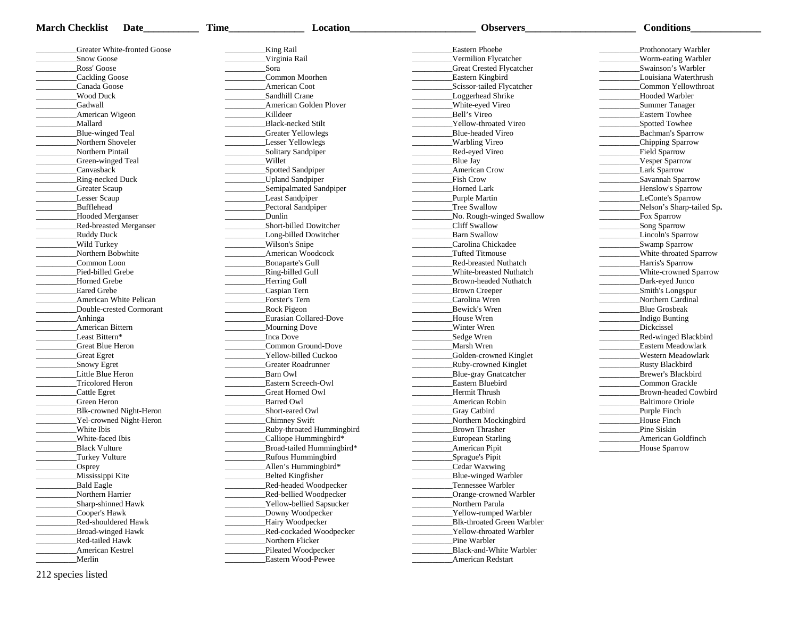| <b>March Checklist</b><br>Date | <b>Time</b><br><b>Location</b> | <b>Observers</b>                | <b>Conditions</b>           |
|--------------------------------|--------------------------------|---------------------------------|-----------------------------|
| Greater White-fronted Goose    | King Rail                      | Eastern Phoebe                  | Prothonotary Warbler        |
| Snow Goose                     | Virginia Rail                  | Vermilion Flycatcher            | Worm-eating Warbler         |
| Ross' Goose                    | Sora                           | <b>Great Crested Flycatcher</b> | Swainson's Warbler          |
| Cackling Goose                 | Common Moorhen                 | Eastern Kingbird                | Louisiana Waterthrush       |
| Canada Goose                   | American Coot                  | Scissor-tailed Flycatcher       | Common Yellowthroat         |
| Wood Duck                      | Sandhill Crane                 | Loggerhead Shrike               | Hooded Warbler              |
| Gadwall                        | American Golden Plover         | White-eyed Vireo                | Summer Tanager              |
| American Wigeon                | Killdeer                       | Bell's Vireo                    | Eastern Towhee              |
| Mallard                        | Black-necked Stilt             | Yellow-throated Vireo           | Spotted Towhee              |
| Blue-winged Teal               | Greater Yellowlegs             | Blue-headed Vireo               | Bachman's Sparrow           |
| Northern Shoveler              | <b>Lesser Yellowlegs</b>       | Warbling Vireo                  | Chipping Sparrow            |
| Northern Pintail               | Solitary Sandpiper             | Red-eyed Vireo                  | Field Sparrow               |
| Green-winged Teal              | Willet                         | Blue Jay                        | Vesper Sparrow              |
| Canvasback                     | Spotted Sandpiper              | <b>American Crow</b>            | <b>Lark Sparrow</b>         |
| Ring-necked Duck               | _Upland Sandpiper              | <b>Fish Crow</b>                | Savannah Sparrow            |
| <b>Greater Scaup</b>           | Semipalmated Sandpiper         | Horned Lark                     | _Henslow's Sparrow          |
| Lesser Scaup                   | Least Sandpiper                | _Purple Martin                  | LeConte's Sparrow           |
| Bufflehead                     | Pectoral Sandpiper             | Tree Swallow                    | Nelson's Sharp-tailed Sp.   |
| Hooded Merganser               | Dunlin                         | No. Rough-winged Swallow        | Fox Sparrow                 |
| Red-breasted Merganser         | Short-billed Dowitcher         | Cliff Swallow                   | Song Sparrow                |
| Ruddy Duck                     | Long-billed Dowitcher          | <b>Barn Swallow</b>             | Lincoln's Sparrow           |
| Wild Turkey                    | Wilson's Snipe                 | Carolina Chickadee              | Swamp Sparrow               |
| Northern Bobwhite              | American Woodcock              | <b>Tufted Titmouse</b>          | White-throated Sparrow      |
| Common Loon                    | Bonaparte's Gull               | <b>Red-breasted Nuthatch</b>    | Harris's Sparrow            |
| Pied-billed Grebe              | _Ring-billed Gull              | White-breasted Nuthatch         | White-crowned Sparrow       |
| Horned Grebe                   | Herring Gull                   | Brown-headed Nuthatch           | Dark-eyed Junco             |
| <b>Eared Grebe</b>             | Caspian Tern                   | Brown Creeper                   | Smith's Longspur            |
| American White Pelican         | Forster's Tern                 | Carolina Wren                   | Northern Cardinal           |
| Double-crested Cormorant       | <b>Rock Pigeon</b>             | Bewick's Wren                   | <b>Blue Grosbeak</b>        |
| Anhinga                        | Eurasian Collared-Dove         | House Wren                      | Indigo Bunting              |
| American Bittern               | Mourning Dove                  | Winter Wren                     | Dickcissel                  |
| Least Bittern*                 | Inca Dove                      | _Sedge Wren                     | <b>Red-winged Blackbird</b> |
| Great Blue Heron               | Common Ground-Dove             | Marsh Wren                      | Eastern Meadowlark          |
| Great Egret                    | Yellow-billed Cuckoo           | Golden-crowned Kinglet          | Western Meadowlark          |
| Snowy Egret                    | Greater Roadrunner             | _Ruby-crowned Kinglet           | <b>Rusty Blackbird</b>      |
| Little Blue Heron              | Barn Owl                       | Blue-gray Gnatcatcher           | Brewer's Blackbird          |
| <b>Tricolored Heron</b>        | Eastern Screech-Owl            | Eastern Bluebird                | Common Grackle              |
| Cattle Egret                   | Great Horned Owl               | Hermit Thrush                   | Brown-headed Cowbird        |
| Green Heron                    | <b>Barred Owl</b>              | American Robin                  | <b>Baltimore Oriole</b>     |
| Blk-crowned Night-Heron        | Short-eared Owl                | <b>Gray Catbird</b>             | Purple Finch                |
| Yel-crowned Night-Heron        | Chimney Swift                  | Northern Mockingbird            | House Finch                 |
| White Ibis                     | Ruby-throated Hummingbird      | Brown Thrasher                  | Pine Siskin                 |
| White-faced Ibis               | _Calliope Hummingbird*         | <b>European Starling</b>        | <b>American Goldfinch</b>   |
| <b>Black Vulture</b>           | Broad-tailed Hummingbird*      | <b>American Pipit</b>           | House Sparrow               |
| Turkey Vulture                 | <b>Rufous Hummingbird</b>      | Sprague's Pipit                 |                             |
| _Osprey                        | Allen's Hummingbird*           | Cedar Waxwing                   |                             |
| Mississippi Kite               | Belted Kingfisher              | Blue-winged Warbler             |                             |
| Bald Eagle                     | Red-headed Woodpecker          | Tennessee Warbler               |                             |
| Northern Harrier               | Red-bellied Woodpecker         | Orange-crowned Warbler          |                             |
| Sharp-shinned Hawk             | Yellow-bellied Sapsucker       | Northern Parula                 |                             |
| Cooper's Hawk                  | Downy Woodpecker               | Yellow-rumped Warbler           |                             |
| Red-shouldered Hawk            | Hairy Woodpecker               | Blk-throated Green Warbler      |                             |
| <b>Broad-winged Hawk</b>       | Red-cockaded Woodpecker        | Yellow-throated Warbler         |                             |
| Red-tailed Hawk                | Northern Flicker               | Pine Warbler                    |                             |
| American Kestrel               | Pileated Woodpecker            | Black-and-White Warbler         |                             |
| Merlin                         | Eastern Wood-Pewee             | American Redstart               |                             |
| 212 species listed             |                                |                                 |                             |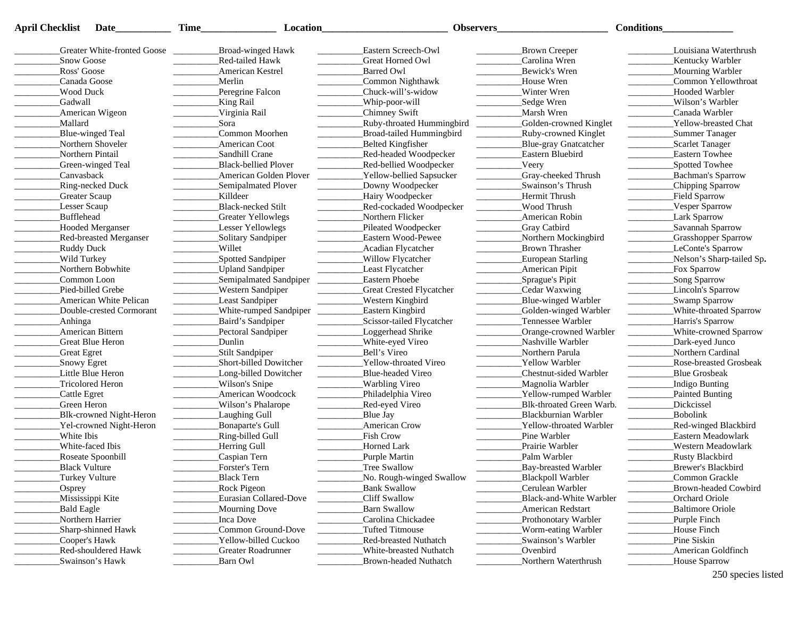| <b>April Checklist</b> | Date                          | <b>Time</b><br>Location                                                                                                                                                                                                                                                                                                                                                                                                                                                                              | Observers                                 |                                                                                                                                                                                                                                                                                                                                                                                                                                                                                                                              | <b>Conditions</b>                                                                                                                                                                                                                                                                                                        |
|------------------------|-------------------------------|------------------------------------------------------------------------------------------------------------------------------------------------------------------------------------------------------------------------------------------------------------------------------------------------------------------------------------------------------------------------------------------------------------------------------------------------------------------------------------------------------|-------------------------------------------|------------------------------------------------------------------------------------------------------------------------------------------------------------------------------------------------------------------------------------------------------------------------------------------------------------------------------------------------------------------------------------------------------------------------------------------------------------------------------------------------------------------------------|--------------------------------------------------------------------------------------------------------------------------------------------------------------------------------------------------------------------------------------------------------------------------------------------------------------------------|
|                        | Greater White-fronted Goose   | Broad-winged Hawk<br><u>Contractors</u>                                                                                                                                                                                                                                                                                                                                                                                                                                                              | Eastern Screech-Owl                       | Brown Creeper                                                                                                                                                                                                                                                                                                                                                                                                                                                                                                                | Louisiana Waterthrush                                                                                                                                                                                                                                                                                                    |
| Snow Goose             |                               | Red-tailed Hawk                                                                                                                                                                                                                                                                                                                                                                                                                                                                                      | Great Horned Owl                          | Carolina Wren                                                                                                                                                                                                                                                                                                                                                                                                                                                                                                                | Kentucky Warbler                                                                                                                                                                                                                                                                                                         |
| Ross' Goose            |                               | <b>American Kestrel</b>                                                                                                                                                                                                                                                                                                                                                                                                                                                                              | <b>Barred Owl</b>                         | Bewick's Wren                                                                                                                                                                                                                                                                                                                                                                                                                                                                                                                | Mourning Warbler                                                                                                                                                                                                                                                                                                         |
| Canada Goose           |                               | Merlin                                                                                                                                                                                                                                                                                                                                                                                                                                                                                               | Common Nighthawk                          | House Wren                                                                                                                                                                                                                                                                                                                                                                                                                                                                                                                   | Common Yellowthroat                                                                                                                                                                                                                                                                                                      |
| <b>Wood Duck</b>       |                               | Peregrine Falcon                                                                                                                                                                                                                                                                                                                                                                                                                                                                                     | _Chuck-will's-widow                       | Winter Wren                                                                                                                                                                                                                                                                                                                                                                                                                                                                                                                  | Hooded Warbler                                                                                                                                                                                                                                                                                                           |
| Gadwall                |                               | King Rail                                                                                                                                                                                                                                                                                                                                                                                                                                                                                            | Whip-poor-will                            | Sedge Wren                                                                                                                                                                                                                                                                                                                                                                                                                                                                                                                   | Wilson's Warbler                                                                                                                                                                                                                                                                                                         |
|                        | American Wigeon               | Virginia Rail                                                                                                                                                                                                                                                                                                                                                                                                                                                                                        | Chimney Swift                             | _Marsh Wren                                                                                                                                                                                                                                                                                                                                                                                                                                                                                                                  | Canada Warbler                                                                                                                                                                                                                                                                                                           |
| Mallard                |                               | Sora                                                                                                                                                                                                                                                                                                                                                                                                                                                                                                 | _Ruby-throated Hummingbird                | Golden-crowned Kinglet<br>$\mathcal{L}^{\text{max}}$ and $\mathcal{L}^{\text{max}}$                                                                                                                                                                                                                                                                                                                                                                                                                                          | <b>Yellow-breasted Chat</b><br>$\overline{\phantom{a}}$                                                                                                                                                                                                                                                                  |
|                        | Blue-winged Teal              | Common Moorhen                                                                                                                                                                                                                                                                                                                                                                                                                                                                                       | Broad-tailed Hummingbird                  | Ruby-crowned Kinglet<br><u> Albanya a San A</u>                                                                                                                                                                                                                                                                                                                                                                                                                                                                              | Summer Tanager<br>$\overline{\phantom{a}}$                                                                                                                                                                                                                                                                               |
|                        | Northern Shoveler             | <b>American Coot</b>                                                                                                                                                                                                                                                                                                                                                                                                                                                                                 | Belted Kingfisher                         | Blue-gray Gnatcatcher                                                                                                                                                                                                                                                                                                                                                                                                                                                                                                        | Scarlet Tanager                                                                                                                                                                                                                                                                                                          |
|                        | Northern Pintail              | Sandhill Crane                                                                                                                                                                                                                                                                                                                                                                                                                                                                                       | _Red-headed Woodpecker                    | Eastern Bluebird                                                                                                                                                                                                                                                                                                                                                                                                                                                                                                             | <b>Eastern Towhee</b>                                                                                                                                                                                                                                                                                                    |
|                        | Green-winged Teal             | <b>Black-bellied Plover</b>                                                                                                                                                                                                                                                                                                                                                                                                                                                                          | Red-bellied Woodpecker                    | Veery                                                                                                                                                                                                                                                                                                                                                                                                                                                                                                                        | Spotted Towhee                                                                                                                                                                                                                                                                                                           |
| Canvasback             |                               | American Golden Plover                                                                                                                                                                                                                                                                                                                                                                                                                                                                               | Yellow-bellied Sapsucker                  | Gray-cheeked Thrush                                                                                                                                                                                                                                                                                                                                                                                                                                                                                                          | Bachman's Sparrow                                                                                                                                                                                                                                                                                                        |
|                        | Ring-necked Duck              | $\begin{tabular}{ccccc} \multicolumn{2}{c }{\textbf{1} & \textbf{2} & \textbf{3} & \textbf{4} & \textbf{5} & \textbf{5} & \textbf{6} & \textbf{7} & \textbf{8} & \textbf{9} & \textbf{10} & \textbf{10} & \textbf{10} & \textbf{10} & \textbf{10} & \textbf{10} & \textbf{10} & \textbf{10} & \textbf{10} & \textbf{10} & \textbf{10} & \textbf{10} & \textbf{10} & \textbf{10} & \textbf{10} & \textbf{10} & \textbf$<br>Semipalmated Plover                                                        | Downy Woodpecker                          | <b>Contract Contract</b><br>Swainson's Thrush                                                                                                                                                                                                                                                                                                                                                                                                                                                                                | $\overline{\phantom{a}}$<br>Chipping Sparrow                                                                                                                                                                                                                                                                             |
| <b>Greater Scaup</b>   |                               | Killdeer                                                                                                                                                                                                                                                                                                                                                                                                                                                                                             | Hairy Woodpecker                          | Hermit Thrush                                                                                                                                                                                                                                                                                                                                                                                                                                                                                                                | Field Sparrow                                                                                                                                                                                                                                                                                                            |
| Lesser Scaup           |                               | Black-necked Stilt                                                                                                                                                                                                                                                                                                                                                                                                                                                                                   | Red-cockaded Woodpecker                   | Wood Thrush                                                                                                                                                                                                                                                                                                                                                                                                                                                                                                                  | Vesper Sparrow                                                                                                                                                                                                                                                                                                           |
| Bufflehead             |                               | Greater Yellowlegs                                                                                                                                                                                                                                                                                                                                                                                                                                                                                   | Northern Flicker                          | American Robin                                                                                                                                                                                                                                                                                                                                                                                                                                                                                                               | Lark Sparrow                                                                                                                                                                                                                                                                                                             |
|                        | Hooded Merganser              |                                                                                                                                                                                                                                                                                                                                                                                                                                                                                                      |                                           |                                                                                                                                                                                                                                                                                                                                                                                                                                                                                                                              | $\frac{1}{2}$<br>Savannah Sparrow                                                                                                                                                                                                                                                                                        |
|                        |                               | Lesser Yellowlegs                                                                                                                                                                                                                                                                                                                                                                                                                                                                                    | Pileated Woodpecker<br>Eastern Wood-Pewee | <b>_Gray Catbird</b>                                                                                                                                                                                                                                                                                                                                                                                                                                                                                                         |                                                                                                                                                                                                                                                                                                                          |
|                        | <b>Red-breasted Merganser</b> | Solitary Sandpiper                                                                                                                                                                                                                                                                                                                                                                                                                                                                                   |                                           | Northern Mockingbird                                                                                                                                                                                                                                                                                                                                                                                                                                                                                                         | Grasshopper Sparrow                                                                                                                                                                                                                                                                                                      |
| <b>Ruddy Duck</b>      |                               | Willet                                                                                                                                                                                                                                                                                                                                                                                                                                                                                               | Acadian Flycatcher                        | <b>Brown Thrasher</b>                                                                                                                                                                                                                                                                                                                                                                                                                                                                                                        | LeConte's Sparrow<br>$\overline{\phantom{a}}$                                                                                                                                                                                                                                                                            |
| Wild Turkey            |                               | Spotted Sandpiper                                                                                                                                                                                                                                                                                                                                                                                                                                                                                    | Willow Flycatcher                         | European Starling                                                                                                                                                                                                                                                                                                                                                                                                                                                                                                            | Nelson's Sharp-tailed Sp.                                                                                                                                                                                                                                                                                                |
|                        | Northern Bobwhite             | _Upland Sandpiper                                                                                                                                                                                                                                                                                                                                                                                                                                                                                    | Least Flycatcher                          | <b>American Pipit</b>                                                                                                                                                                                                                                                                                                                                                                                                                                                                                                        | Fox Sparrow                                                                                                                                                                                                                                                                                                              |
|                        | Common Loon                   | _Semipalmated Sandpiper                                                                                                                                                                                                                                                                                                                                                                                                                                                                              | Eastern Phoebe                            | Sprague's Pipit                                                                                                                                                                                                                                                                                                                                                                                                                                                                                                              | Song Sparrow                                                                                                                                                                                                                                                                                                             |
|                        | Pied-billed Grebe             | <b>Western Sandpiper</b><br><b>Contract Contract</b>                                                                                                                                                                                                                                                                                                                                                                                                                                                 | <b>Great Crested Flycatcher</b>           | Cedar Waxwing                                                                                                                                                                                                                                                                                                                                                                                                                                                                                                                | Lincoln's Sparrow                                                                                                                                                                                                                                                                                                        |
|                        | American White Pelican        | Least Sandpiper                                                                                                                                                                                                                                                                                                                                                                                                                                                                                      | Western Kingbird                          | Blue-winged Warbler                                                                                                                                                                                                                                                                                                                                                                                                                                                                                                          | Swamp Sparrow                                                                                                                                                                                                                                                                                                            |
|                        | Double-crested Cormorant      | White-rumped Sandpiper<br>$\frac{1}{2} \left( \frac{1}{2} \right) \left( \frac{1}{2} \right) \left( \frac{1}{2} \right) \left( \frac{1}{2} \right) \left( \frac{1}{2} \right) \left( \frac{1}{2} \right) \left( \frac{1}{2} \right) \left( \frac{1}{2} \right) \left( \frac{1}{2} \right) \left( \frac{1}{2} \right) \left( \frac{1}{2} \right) \left( \frac{1}{2} \right) \left( \frac{1}{2} \right) \left( \frac{1}{2} \right) \left( \frac{1}{2} \right) \left( \frac{1}{2} \right) \left( \frac$ | Eastern Kingbird                          | Golden-winged Warbler                                                                                                                                                                                                                                                                                                                                                                                                                                                                                                        | White-throated Sparrow                                                                                                                                                                                                                                                                                                   |
| _Anhinga               |                               | Baird's Sandpiper                                                                                                                                                                                                                                                                                                                                                                                                                                                                                    | Scissor-tailed Flycatcher                 | Tennessee Warbler                                                                                                                                                                                                                                                                                                                                                                                                                                                                                                            | Harris's Sparrow                                                                                                                                                                                                                                                                                                         |
|                        | American Bittern              | Pectoral Sandpiper<br>$\overline{\phantom{a}}$                                                                                                                                                                                                                                                                                                                                                                                                                                                       | Loggerhead Shrike                         | Orange-crowned Warbler                                                                                                                                                                                                                                                                                                                                                                                                                                                                                                       | White-crowned Sparrow<br>$\frac{1}{2}$ . The contract of $\frac{1}{2}$ , $\frac{1}{2}$ , $\frac{1}{2}$ , $\frac{1}{2}$ , $\frac{1}{2}$ , $\frac{1}{2}$ , $\frac{1}{2}$ , $\frac{1}{2}$ , $\frac{1}{2}$ , $\frac{1}{2}$ , $\frac{1}{2}$ , $\frac{1}{2}$ , $\frac{1}{2}$ , $\frac{1}{2}$ , $\frac{1}{2}$ , $\frac{1}{2}$ , |
|                        | Great Blue Heron              | Dunlin                                                                                                                                                                                                                                                                                                                                                                                                                                                                                               | White-eyed Vireo                          | Nashville Warbler                                                                                                                                                                                                                                                                                                                                                                                                                                                                                                            | Dark-eyed Junco                                                                                                                                                                                                                                                                                                          |
| <b>Great Egret</b>     |                               | _Stilt Sandpiper                                                                                                                                                                                                                                                                                                                                                                                                                                                                                     | Bell's Vireo                              | Northern Parula                                                                                                                                                                                                                                                                                                                                                                                                                                                                                                              | Northern Cardinal                                                                                                                                                                                                                                                                                                        |
| Snowy Egret            |                               | Short-billed Dowitcher                                                                                                                                                                                                                                                                                                                                                                                                                                                                               | Yellow-throated Vireo                     | <b>Yellow Warbler</b>                                                                                                                                                                                                                                                                                                                                                                                                                                                                                                        | Rose-breasted Grosbeak                                                                                                                                                                                                                                                                                                   |
|                        | Little Blue Heron             | Long-billed Dowitcher                                                                                                                                                                                                                                                                                                                                                                                                                                                                                | Blue-headed Vireo                         | Chestnut-sided Warbler                                                                                                                                                                                                                                                                                                                                                                                                                                                                                                       | Blue Grosbeak                                                                                                                                                                                                                                                                                                            |
|                        | Tricolored Heron              | Wilson's Snipe                                                                                                                                                                                                                                                                                                                                                                                                                                                                                       | Warbling Vireo                            | _Magnolia Warbler                                                                                                                                                                                                                                                                                                                                                                                                                                                                                                            | Indigo Bunting                                                                                                                                                                                                                                                                                                           |
| Cattle Egret           |                               | American Woodcock                                                                                                                                                                                                                                                                                                                                                                                                                                                                                    | Philadelphia Vireo                        | ____________Yellow-rumped Warbler                                                                                                                                                                                                                                                                                                                                                                                                                                                                                            | Painted Bunting                                                                                                                                                                                                                                                                                                          |
| Green Heron            |                               | Wilson's Phalarope                                                                                                                                                                                                                                                                                                                                                                                                                                                                                   | Red-eyed Vireo                            | Blk-throated Green Warb.<br>$\begin{tabular}{ll} \multicolumn{3}{c} {\textbf{1}} & \multicolumn{3}{c} {\textbf{1}} & \multicolumn{3}{c} {\textbf{1}} \\ \multicolumn{3}{c} {\textbf{2}} & \multicolumn{3}{c} {\textbf{3}} & \multicolumn{3}{c} {\textbf{4}} \\ \multicolumn{3}{c} {\textbf{4}} & \multicolumn{3}{c} {\textbf{5}} & \multicolumn{3}{c} {\textbf{6}} \\ \multicolumn{3}{c} {\textbf{5}} & \multicolumn{3}{c} {\textbf{6}} & \multicolumn{3}{c} {\textbf{6}} \\ \multicolumn{3}{c} {\textbf{5}} & \multicolumn$ | Dickcissel                                                                                                                                                                                                                                                                                                               |
|                        | Blk-crowned Night-Heron       | Laughing Gull                                                                                                                                                                                                                                                                                                                                                                                                                                                                                        | Blue Jay                                  | Blackburnian Warbler                                                                                                                                                                                                                                                                                                                                                                                                                                                                                                         | Bobolink                                                                                                                                                                                                                                                                                                                 |
|                        | Yel-crowned Night-Heron       | Bonaparte's Gull                                                                                                                                                                                                                                                                                                                                                                                                                                                                                     | <b>American Crow</b>                      | Yellow-throated Warbler                                                                                                                                                                                                                                                                                                                                                                                                                                                                                                      | <b>Red-winged Blackbird</b>                                                                                                                                                                                                                                                                                              |
| White Ibis             |                               | Ring-billed Gull                                                                                                                                                                                                                                                                                                                                                                                                                                                                                     | Fish Crow                                 | Pine Warbler                                                                                                                                                                                                                                                                                                                                                                                                                                                                                                                 | Eastern Meadowlark                                                                                                                                                                                                                                                                                                       |
|                        | White-faced Ibis              | Herring Gull                                                                                                                                                                                                                                                                                                                                                                                                                                                                                         | Horned Lark                               | Prairie Warbler                                                                                                                                                                                                                                                                                                                                                                                                                                                                                                              | Western Meadowlark                                                                                                                                                                                                                                                                                                       |
|                        | Roseate Spoonbill             | Caspian Tern                                                                                                                                                                                                                                                                                                                                                                                                                                                                                         | Purple Martin                             | Palm Warbler                                                                                                                                                                                                                                                                                                                                                                                                                                                                                                                 | <b>Rusty Blackbird</b>                                                                                                                                                                                                                                                                                                   |
| <b>Black Vulture</b>   |                               | Forster's Tern                                                                                                                                                                                                                                                                                                                                                                                                                                                                                       | Tree Swallow                              | Bay-breasted Warbler                                                                                                                                                                                                                                                                                                                                                                                                                                                                                                         | Brewer's Blackbird                                                                                                                                                                                                                                                                                                       |
|                        | Turkey Vulture                | Black Tern                                                                                                                                                                                                                                                                                                                                                                                                                                                                                           | No. Rough-winged Swallow                  | Blackpoll Warbler                                                                                                                                                                                                                                                                                                                                                                                                                                                                                                            | Common Grackle                                                                                                                                                                                                                                                                                                           |
| $\sqrt{\text{Osprey}}$ |                               | <b>Rock Pigeon</b>                                                                                                                                                                                                                                                                                                                                                                                                                                                                                   | <b>Bank Swallow</b>                       | Cerulean Warbler                                                                                                                                                                                                                                                                                                                                                                                                                                                                                                             | Brown-headed Cowbird                                                                                                                                                                                                                                                                                                     |
|                        | Mississippi Kite              | Eurasian Collared-Dove                                                                                                                                                                                                                                                                                                                                                                                                                                                                               | Cliff Swallow                             | Black-and-White Warbler                                                                                                                                                                                                                                                                                                                                                                                                                                                                                                      | Orchard Oriole                                                                                                                                                                                                                                                                                                           |
| Bald Eagle             |                               | Mourning Dove                                                                                                                                                                                                                                                                                                                                                                                                                                                                                        | Barn Swallow                              | <b>American Redstart</b>                                                                                                                                                                                                                                                                                                                                                                                                                                                                                                     | <b>Baltimore Oriole</b>                                                                                                                                                                                                                                                                                                  |
|                        | Northern Harrier              | Inca Dove                                                                                                                                                                                                                                                                                                                                                                                                                                                                                            | Carolina Chickadee                        | Prothonotary Warbler                                                                                                                                                                                                                                                                                                                                                                                                                                                                                                         | Purple Finch                                                                                                                                                                                                                                                                                                             |
|                        | Sharp-shinned Hawk            | Common Ground-Dove                                                                                                                                                                                                                                                                                                                                                                                                                                                                                   | Tufted Titmouse                           | Worm-eating Warbler                                                                                                                                                                                                                                                                                                                                                                                                                                                                                                          | House Finch                                                                                                                                                                                                                                                                                                              |
|                        | Cooper's Hawk                 | Yellow-billed Cuckoo                                                                                                                                                                                                                                                                                                                                                                                                                                                                                 | <b>Red-breasted Nuthatch</b>              | Swainson's Warbler                                                                                                                                                                                                                                                                                                                                                                                                                                                                                                           | Pine Siskin                                                                                                                                                                                                                                                                                                              |
|                        | Red-shouldered Hawk           | Greater Roadrunner                                                                                                                                                                                                                                                                                                                                                                                                                                                                                   | White-breasted Nuthatch                   | Ovenbird                                                                                                                                                                                                                                                                                                                                                                                                                                                                                                                     | American Goldfinch                                                                                                                                                                                                                                                                                                       |
|                        | Swainson's Hawk               | Barn Owl                                                                                                                                                                                                                                                                                                                                                                                                                                                                                             | Brown-headed Nuthatch                     | Northern Waterthrush                                                                                                                                                                                                                                                                                                                                                                                                                                                                                                         | House Sparrow                                                                                                                                                                                                                                                                                                            |

<sup>250</sup> species listed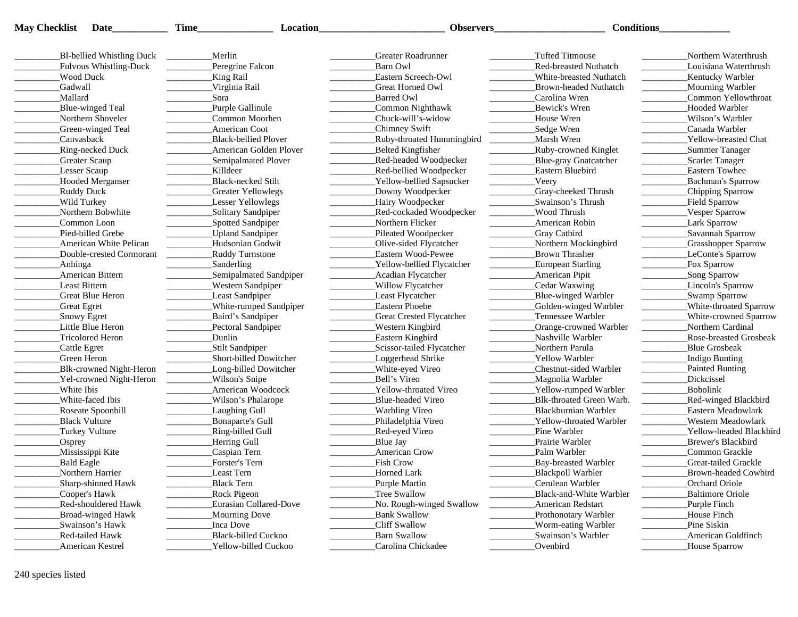| <b>May Checklist</b> Date |  |
|---------------------------|--|
|                           |  |

**Checklist Date\_\_\_\_\_\_\_\_\_\_\_ Time\_\_\_\_\_\_\_\_\_\_\_\_\_\_\_ Location\_\_\_\_\_\_\_\_\_\_\_\_\_\_\_\_\_\_\_\_\_\_\_\_\_ Observers\_\_\_\_\_\_\_\_\_\_\_\_\_\_\_\_\_\_\_\_\_\_ Conditions\_\_\_\_\_\_\_\_\_\_\_\_\_\_**

| Bl-bellied Whistling Duck      | Merlin                        | Greater Roadrunner              | <b>Tufted Titmouse</b>       | Northern Waterthrush       |
|--------------------------------|-------------------------------|---------------------------------|------------------------------|----------------------------|
| Fulvous Whistling-Duck         | Peregrine Falcon              | Barn Owl                        | <b>Red-breasted Nuthatch</b> | Louisiana Waterthrush      |
| Wood Duck                      | King Rail                     | Eastern Screech-Owl             | White-breasted Nuthatch      | Kentucky Warbler           |
| Gadwall                        | Virginia Rail                 | Great Horned Owl                | <b>Brown-headed Nuthatch</b> | Mourning Warbler           |
| Mallard                        | Sora                          | <b>Barred Owl</b>               | Carolina Wren                | Common Yellowthroat        |
| Blue-winged Teal               | Purple Gallinule              | Common Nighthawk                | Bewick's Wren                | <b>Hooded Warbler</b>      |
| Northern Shoveler              | Common Moorhen                | Chuck-will's-widow              | House Wren                   | Wilson's Warbler           |
| Green-winged Teal              | American Coot                 | Chimney Swift                   | Sedge Wren                   | Canada Warbler             |
| Canvasback                     | <b>Black-bellied Plover</b>   | Ruby-throated Hummingbird       | Marsh Wren                   | Yellow-breasted Chat       |
| Ring-necked Duck               | <b>American Golden Plover</b> | Belted Kingfisher               | <b>Ruby-crowned Kinglet</b>  | Summer Tanager             |
| Greater Scaup                  | Semipalmated Plover           | Red-headed Woodpecker           | Blue-gray Gnatcatcher        | Scarlet Tanager            |
| <b>Lesser Scaup</b>            | <b>Killdeer</b>               | _Red-bellied Woodpecker         | Eastern Bluebird             | <b>Eastern Towhee</b>      |
| Hooded Merganser               | Black-necked Stilt            | <b>Yellow-bellied Sapsucker</b> | Veery                        | Bachman's Sparrow          |
| Ruddy Duck                     | <b>Greater Yellowlegs</b>     | Downy Woodpecker                | Gray-cheeked Thrush          | Chipping Sparrow           |
| Wild Turkey                    | Lesser Yellowlegs             | Hairy Woodpecker                | Swainson's Thrush            | Field Sparrow              |
| Northern Bobwhite              | Solitary Sandpiper            | Red-cockaded Woodpecker         | Wood Thrush                  | Vesper Sparrow             |
| Common Loon                    | Spotted Sandpiper             | Northern Flicker                | American Robin               | Lark Sparrow               |
| Pied-billed Grebe              | <b>Upland Sandpiper</b>       | Pileated Woodpecker             | <b>Gray Catbird</b>          | Savannah Sparrow           |
| American White Pelican         | Hudsonian Godwit              | Olive-sided Flycatcher          | Northern Mockingbird         | <b>Crasshopper Sparrow</b> |
| Double-crested Cormorant       | <b>Ruddy Turnstone</b>        | Eastern Wood-Pewee              | <b>Brown Thrasher</b>        | LeConte's Sparrow          |
| Anhinga                        | Sanderling                    | Yellow-bellied Flycatcher       | <b>European Starling</b>     | Fox Sparrow                |
| American Bittern               | Semipalmated Sandpiper        | <b>Acadian Flycatcher</b>       | American Pipit               | Song Sparrow               |
| <b>Least Bittern</b>           | <b>Western Sandpiper</b>      | Willow Flycatcher               | Cedar Waxwing                | Lincoln's Sparrow          |
| <b>Great Blue Heron</b>        | Least Sandpiper               | Least Flycatcher                | Blue-winged Warbler          | Swamp Sparrow              |
| <b>Great Egret</b>             | White-rumped Sandpiper        | <b>Eastern Phoebe</b>           | Golden-winged Warbler        | White-throated Sparrow     |
| Snowy Egret                    | Baird's Sandpiper             | <b>Great Crested Flycatcher</b> | Tennessee Warbler            | White-crowned Sparrow      |
| Little Blue Heron              | Pectoral Sandpiper            | <b>Western Kingbird</b>         | Orange-crowned Warbler       | Northern Cardinal          |
| Tricolored Heron               | <b>Dunlin</b>                 | Eastern Kingbird                | Nashville Warbler            | Rose-breasted Grosbeak     |
| Cattle Egret                   | Stilt Sandpiper               | Scissor-tailed Flycatcher       | Northern Parula              | <b>Blue Grosbeak</b>       |
| Green Heron                    | Short-billed Dowitcher        | Loggerhead Shrike               | Yellow Warbler               | Indigo Bunting             |
| Blk-crowned Night-Heron        | Long-billed Dowitcher         | White-eyed Vireo                | Chestnut-sided Warbler       | Painted Bunting            |
| <b>Yel-crowned Night-Heron</b> | Wilson's Snipe                | Bell's Vireo                    | Magnolia Warbler             | Dickcissel                 |
| White Ibis                     | American Woodcock             | Yellow-throated Vireo           | Yellow-rumped Warbler        | <b>Bobolink</b>            |
| White-faced Ibis               | Wilson's Phalarope            | <b>Blue-headed Vireo</b>        | Blk-throated Green Warb.     | Red-winged Blackbird       |
| Roseate Spoonbill              | Laughing Gull                 | Warbling Vireo                  | Blackburnian Warbler         | Eastern Meadowlark         |
| <b>Black Vulture</b>           | Bonaparte's Gull              | Philadelphia Vireo              | Yellow-throated Warbler      | Western Meadowlark         |
| Turkey Vulture                 | Ring-billed Gull              | Red-eyed Vireo                  | Pine Warbler                 | Yellow-headed Blackbird    |
| Osprey                         | Herring Gull                  | Blue Jay                        | Prairie Warbler              | Brewer's Blackbird         |
| Mississippi Kite               | Caspian Tern                  | <b>American Crow</b>            | Palm Warbler                 | Common Grackle             |
| <b>Bald Eagle</b>              | Forster's Tern                | <b>Fish Crow</b>                | Bay-breasted Warbler         | Great-tailed Grackle       |
| Northern Harrier               | Least Tern                    | Horned Lark                     | Blackpoll Warbler            | Brown-headed Cowbird       |
| Sharp-shinned Hawk             | <b>Black Tern</b>             | Purple Martin                   | Cerulean Warbler             | Orchard Oriole             |
| Cooper's Hawk                  | Rock Pigeon                   | Tree Swallow                    | Black-and-White Warbler      | <b>Baltimore Oriole</b>    |
| Red-shouldered Hawk            | Eurasian Collared-Dove        | No. Rough-winged Swallow        | American Redstart            | Purple Finch               |
| <b>Broad-winged Hawk</b>       | Mourning Dove                 | <b>Bank Swallow</b>             | Prothonotary Warbler         | House Finch                |
| Swainson's Hawk                | Inca Dove                     | <b>Cliff Swallow</b>            | Worm-eating Warbler          | Pine Siskin                |
| Red-tailed Hawk                | <b>Black-billed Cuckoo</b>    | <b>Barn Swallow</b>             | Swainson's Warbler           | American Goldfinch         |
| American Kestrel               | Yellow-billed Cuckoo          | Carolina Chickadee              | Ovenbird                     | House Sparrow              |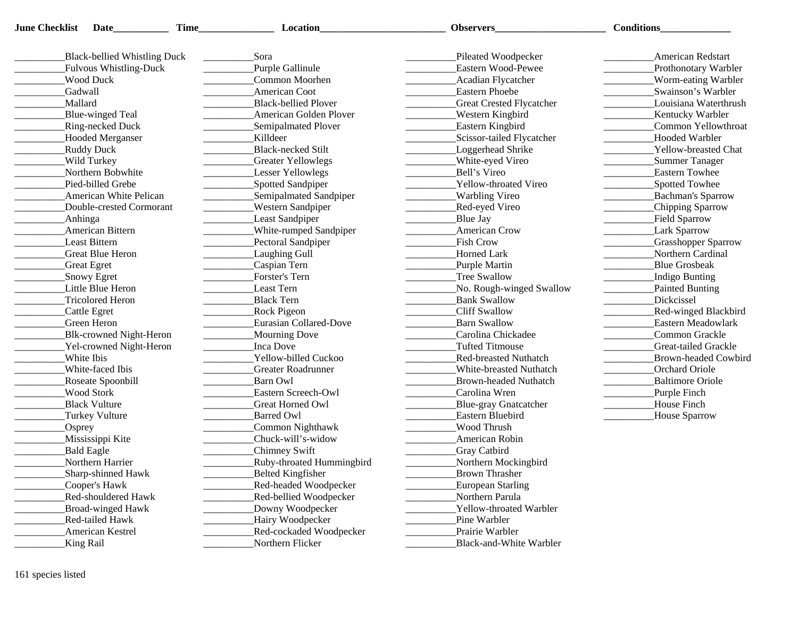| <b>June Checklist</b><br>Date | <b>Time</b>                                    | Location                      | Observers                                                                 | <b>Conditions</b>                                |
|-------------------------------|------------------------------------------------|-------------------------------|---------------------------------------------------------------------------|--------------------------------------------------|
| Black-bellied Whistling Duck  |                                                | Sora                          | Pileated Woodpecker                                                       | <b>American Redstart</b>                         |
| Fulvous Whistling-Duck        |                                                | Purple Gallinule              | Eastern Wood-Pewee                                                        | Prothonotary Warbler                             |
| <b>Wood Duck</b>              |                                                | Common Moorhen                | Acadian Flycatcher                                                        | Worm-eating Warbler                              |
| Gadwall                       |                                                | American Coot                 | <b>Eastern Phoebe</b>                                                     | Swainson's Warbler                               |
| Mallard                       |                                                | <b>Black-bellied Plover</b>   | <b>Great Crested Flycatcher</b>                                           | Louisiana Waterthrush                            |
| Blue-winged Teal              | $\mathcal{L} = \mathcal{L} \times \mathcal{L}$ | <b>American Golden Plover</b> | Western Kingbird<br>$\mathcal{L} = \mathcal{L} \times \mathcal{L}$        | <b>Kentucky Warbler</b>                          |
| Ring-necked Duck              |                                                | Semipalmated Plover           | <b>Eastern Kingbird</b><br>$\mathcal{L} = \mathcal{L} \times \mathcal{L}$ | Common Yellowthroat                              |
| <b>Hooded Merganser</b>       |                                                | Killdeer                      | Scissor-tailed Flycatcher<br>$\overline{\phantom{a}}$                     | <b>Hooded Warbler</b><br>$\frac{1}{1}$           |
| <b>Ruddy Duck</b>             |                                                | <b>Black-necked Stilt</b>     | Loggerhead Shrike                                                         | Yellow-breasted Chat                             |
| Wild Turkey                   |                                                | Greater Yellowlegs            | White-eyed Vireo                                                          | Summer Tanager<br>$\overline{\phantom{a}}$       |
| Northern Bobwhite             |                                                | Lesser Yellowlegs             | Bell's Vireo                                                              | Eastern Towhee<br><u> Liberatura de la conte</u> |
| Pied-billed Grebe             | $\frac{1}{2}$                                  | Spotted Sandpiper             | Yellow-throated Vireo                                                     | Spotted Towhee                                   |
| <b>American White Pelican</b> |                                                | Semipalmated Sandpiper        | Warbling Vireo                                                            | Bachman's Sparrow                                |
| Double-crested Cormorant      |                                                | <b>Western Sandpiper</b>      | _Red-eyed Vireo                                                           | _Chipping Sparrow                                |
| _Anhinga                      |                                                | Least Sandpiper               | Blue Jay                                                                  | Field Sparrow                                    |
| American Bittern              |                                                | White-rumped Sandpiper        | American Crow                                                             | Lark Sparrow                                     |
| Least Bittern                 |                                                | Pectoral Sandpiper            | <b>Fish Crow</b>                                                          | <b>Crasshopper Sparrow</b>                       |
| Great Blue Heron              |                                                | Laughing Gull                 | Horned Lark                                                               | Northern Cardinal                                |
| <b>Great Egret</b>            |                                                | Caspian Tern                  | Purple Martin                                                             | <b>Blue Grosbeak</b>                             |
| Snowy Egret                   |                                                | Forster's Tern                | <b>Tree Swallow</b>                                                       | Indigo Bunting                                   |
| Little Blue Heron             |                                                | Least Tern                    | No. Rough-winged Swallow                                                  | Painted Bunting                                  |
| <b>Tricolored Heron</b>       |                                                | <b>Black Tern</b>             | <b>Bank Swallow</b>                                                       | Dickcissel                                       |
| Cattle Egret                  |                                                | <b>Rock Pigeon</b>            | Cliff Swallow                                                             | <b>Red-winged Blackbird</b>                      |
| Green Heron                   |                                                | Eurasian Collared-Dove        | <b>Barn Swallow</b>                                                       | Eastern Meadowlark                               |
| Blk-crowned Night-Heron       |                                                | Mourning Dove                 | Carolina Chickadee                                                        | Common Grackle                                   |
| Yel-crowned Night-Heron       |                                                | <b>Inca Dove</b>              | Tufted Titmouse                                                           | Great-tailed Grackle                             |
| White Ibis                    |                                                | Yellow-billed Cuckoo          | Red-breasted Nuthatch                                                     | Brown-headed Cowbird                             |
| White-faced Ibis              |                                                | Greater Roadrunner            | White-breasted Nuthatch                                                   | Orchard Oriole                                   |
| Roseate Spoonbill             |                                                | Barn Owl                      | <b>Brown-headed Nuthatch</b>                                              | Baltimore Oriole                                 |
| <b>Wood Stork</b>             |                                                | Eastern Screech-Owl           | Carolina Wren                                                             | Purple Finch                                     |
| <b>Black Vulture</b>          |                                                | Great Horned Owl              | Blue-gray Gnatcatcher                                                     | House Finch<br>$\frac{1}{1}$                     |
| Turkey Vulture                |                                                | <b>Barred Owl</b>             | Eastern Bluebird                                                          | House Sparrow                                    |
| $\sqrt{\text{Osprey}}$        |                                                | Common Nighthawk              | Wood Thrush                                                               |                                                  |
| Mississippi Kite              |                                                | Chuck-will's-widow            | American Robin                                                            |                                                  |
| <b>Bald Eagle</b>             |                                                | Chimney Swift                 | <b>Gray Catbird</b>                                                       |                                                  |
| Northern Harrier              |                                                | Ruby-throated Hummingbird     | Northern Mockingbird                                                      |                                                  |
| Sharp-shinned Hawk            |                                                | Belted Kingfisher             | <b>Brown Thrasher</b>                                                     |                                                  |
| Cooper's Hawk                 |                                                | Red-headed Woodpecker         | <b>European Starling</b>                                                  |                                                  |
| Red-shouldered Hawk           |                                                | Red-bellied Woodpecker        | Northern Parula                                                           |                                                  |
| <b>Broad-winged Hawk</b>      |                                                | Downy Woodpecker              | Yellow-throated Warbler                                                   |                                                  |
| Red-tailed Hawk               |                                                | Hairy Woodpecker              | Pine Warbler                                                              |                                                  |
| American Kestrel              |                                                | Red-cockaded Woodpecker       | Prairie Warbler                                                           |                                                  |
| <b>King Rail</b>              |                                                | Northern Flicker              | Black-and-White Warbler                                                   |                                                  |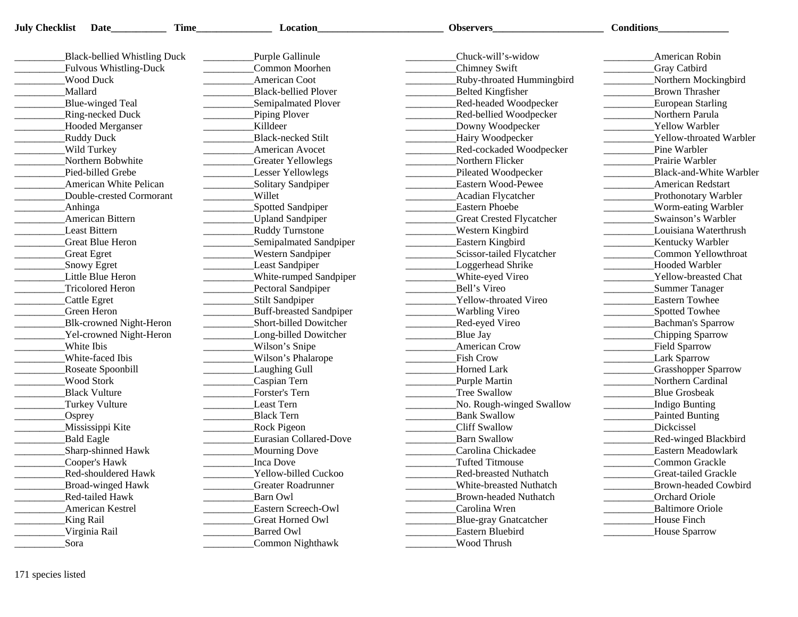| <b>July Checklist</b> Date<br>Time | Location                                                                                                                                                    | <b>Observers</b>                                                                                                                                                                                                                                                                                                                                                                                                                                                                                | <b>Conditions</b>                                                                                                                                                                                                                                                                                                                                                                                                                                                        |
|------------------------------------|-------------------------------------------------------------------------------------------------------------------------------------------------------------|-------------------------------------------------------------------------------------------------------------------------------------------------------------------------------------------------------------------------------------------------------------------------------------------------------------------------------------------------------------------------------------------------------------------------------------------------------------------------------------------------|--------------------------------------------------------------------------------------------------------------------------------------------------------------------------------------------------------------------------------------------------------------------------------------------------------------------------------------------------------------------------------------------------------------------------------------------------------------------------|
| Black-bellied Whistling Duck       | Purple Gallinule                                                                                                                                            | Chuck-will's-widow                                                                                                                                                                                                                                                                                                                                                                                                                                                                              | American Robin                                                                                                                                                                                                                                                                                                                                                                                                                                                           |
| Fulvous Whistling-Duck             | Common Moorhen                                                                                                                                              | Chimney Swift                                                                                                                                                                                                                                                                                                                                                                                                                                                                                   | <b>Gray Catbird</b>                                                                                                                                                                                                                                                                                                                                                                                                                                                      |
| <b>Wood Duck</b>                   | American Coot                                                                                                                                               | Ruby-throated Hummingbird                                                                                                                                                                                                                                                                                                                                                                                                                                                                       | Northern Mockingbird                                                                                                                                                                                                                                                                                                                                                                                                                                                     |
| Mallard                            | <b>Black-bellied Plover</b>                                                                                                                                 | <b>Belted Kingfisher</b>                                                                                                                                                                                                                                                                                                                                                                                                                                                                        | Brown Thrasher                                                                                                                                                                                                                                                                                                                                                                                                                                                           |
| Blue-winged Teal                   | Semipalmated Plover                                                                                                                                         | Red-headed Woodpecker                                                                                                                                                                                                                                                                                                                                                                                                                                                                           | <b>European Starling</b>                                                                                                                                                                                                                                                                                                                                                                                                                                                 |
| <b>Ring-necked Duck</b>            | Piping Plover                                                                                                                                               | Red-bellied Woodpecker                                                                                                                                                                                                                                                                                                                                                                                                                                                                          | $\begin{tabular}{ccccc} \multicolumn{2}{c }{\textbf{1} & \multicolumn{2}{c }{\textbf{2} & \multicolumn{2}{c }{\textbf{3} & \multicolumn{2}{c }{\textbf{4} & \multicolumn{2}{c }{\textbf{5} & \multicolumn{2}{c }{\textbf{6} & \multicolumn{2}{c }{\textbf{6} & \multicolumn{2}{c }{\textbf{6} & \multicolumn{2}{c }{\textbf{6} & \multicolumn{2}{c }{\textbf{6} & \multicolumn{2}{c }{\textbf{6} & \multicolumn{2}{c }{\textbf{6} & \multicolumn{2}{$<br>Northern Parula |
| Hooded Merganser                   | Killdeer                                                                                                                                                    | Downy Woodpecker                                                                                                                                                                                                                                                                                                                                                                                                                                                                                | <b>Yellow Warbler</b>                                                                                                                                                                                                                                                                                                                                                                                                                                                    |
| <b>Ruddy Duck</b>                  | <b>Black-necked Stilt</b>                                                                                                                                   | Hairy Woodpecker                                                                                                                                                                                                                                                                                                                                                                                                                                                                                | Yellow-throated Warbler                                                                                                                                                                                                                                                                                                                                                                                                                                                  |
| Wild Turkey                        | $\begin{array}{c} \begin{array}{c} \begin{array}{c} \begin{array}{c} \end{array} \\ \end{array} \end{array} \end{array} \end{array}$<br>American Avocet     | $\overline{\phantom{a}}$<br>Red-cockaded Woodpecker                                                                                                                                                                                                                                                                                                                                                                                                                                             | Pine Warbler                                                                                                                                                                                                                                                                                                                                                                                                                                                             |
| Northern Bobwhite                  | <b>Greater Yellowlegs</b>                                                                                                                                   | Northern Flicker                                                                                                                                                                                                                                                                                                                                                                                                                                                                                | Prairie Warbler                                                                                                                                                                                                                                                                                                                                                                                                                                                          |
| Pied-billed Grebe                  | <b>Lesser Yellowlegs</b>                                                                                                                                    | Pileated Woodpecker                                                                                                                                                                                                                                                                                                                                                                                                                                                                             | <b>Black-and-White Warbler</b>                                                                                                                                                                                                                                                                                                                                                                                                                                           |
| <b>American White Pelican</b>      | Solitary Sandpiper                                                                                                                                          | Eastern Wood-Pewee                                                                                                                                                                                                                                                                                                                                                                                                                                                                              | <b>American Redstart</b>                                                                                                                                                                                                                                                                                                                                                                                                                                                 |
|                                    | Willet                                                                                                                                                      |                                                                                                                                                                                                                                                                                                                                                                                                                                                                                                 |                                                                                                                                                                                                                                                                                                                                                                                                                                                                          |
| Double-crested Cormorant           |                                                                                                                                                             | Acadian Flycatcher<br><b>Eastern Phoebe</b>                                                                                                                                                                                                                                                                                                                                                                                                                                                     | Prothonotary Warbler                                                                                                                                                                                                                                                                                                                                                                                                                                                     |
| _Anhinga                           | _Spotted Sandpiper                                                                                                                                          |                                                                                                                                                                                                                                                                                                                                                                                                                                                                                                 | Worm-eating Warbler<br>Swainson's Warbler                                                                                                                                                                                                                                                                                                                                                                                                                                |
| American Bittern                   | _Upland Sandpiper<br><u> Liberatura de la pro</u>                                                                                                           | <b>Great Crested Flycatcher</b><br>$\overline{\phantom{a}}$                                                                                                                                                                                                                                                                                                                                                                                                                                     | $\sim$ 100 $\mu$ m $^{-1}$                                                                                                                                                                                                                                                                                                                                                                                                                                               |
| <b>Least Bittern</b>               | <b>Ruddy Turnstone</b><br><u> The Communication of the Communication of the Communication of the Communication of the Communication of the Co</u>           | <b>Western Kingbird</b>                                                                                                                                                                                                                                                                                                                                                                                                                                                                         | Louisiana Waterthrush<br>$\mathcal{L} = \mathcal{L} \times \mathcal{L}$                                                                                                                                                                                                                                                                                                                                                                                                  |
| Great Blue Heron                   | _Semipalmated Sandpiper                                                                                                                                     | <b>Eastern Kingbird</b>                                                                                                                                                                                                                                                                                                                                                                                                                                                                         | Kentucky Warbler                                                                                                                                                                                                                                                                                                                                                                                                                                                         |
| <b>Great Egret</b>                 | <b>Western Sandpiper</b>                                                                                                                                    | Scissor-tailed Flycatcher                                                                                                                                                                                                                                                                                                                                                                                                                                                                       | Common Yellowthroat                                                                                                                                                                                                                                                                                                                                                                                                                                                      |
| Snowy Egret                        | <b>Least Sandpiper</b>                                                                                                                                      | Loggerhead Shrike<br>$\frac{1}{2} \left( \frac{1}{2} \right) \left( \frac{1}{2} \right) \left( \frac{1}{2} \right) \left( \frac{1}{2} \right) \left( \frac{1}{2} \right) \left( \frac{1}{2} \right) \left( \frac{1}{2} \right) \left( \frac{1}{2} \right) \left( \frac{1}{2} \right) \left( \frac{1}{2} \right) \left( \frac{1}{2} \right) \left( \frac{1}{2} \right) \left( \frac{1}{2} \right) \left( \frac{1}{2} \right) \left( \frac{1}{2} \right) \left( \frac{1}{2} \right) \left( \frac$ | <b>Hooded Warbler</b>                                                                                                                                                                                                                                                                                                                                                                                                                                                    |
| Little Blue Heron                  | White-rumped Sandpiper                                                                                                                                      | White-eyed Vireo<br>$\sim$ 100 $\mu$ m $^{-1}$                                                                                                                                                                                                                                                                                                                                                                                                                                                  | _Yellow-breasted Chat                                                                                                                                                                                                                                                                                                                                                                                                                                                    |
| Tricolored Heron                   | Pectoral Sandpiper                                                                                                                                          | Bell's Vireo                                                                                                                                                                                                                                                                                                                                                                                                                                                                                    | Summer Tanager                                                                                                                                                                                                                                                                                                                                                                                                                                                           |
| Cattle Egret                       | <b>Stilt Sandpiper</b>                                                                                                                                      | Yellow-throated Vireo                                                                                                                                                                                                                                                                                                                                                                                                                                                                           | <b>Eastern Towhee</b>                                                                                                                                                                                                                                                                                                                                                                                                                                                    |
| Green Heron                        | Buff-breasted Sandpiper                                                                                                                                     | Warbling Vireo                                                                                                                                                                                                                                                                                                                                                                                                                                                                                  | Spotted Towhee                                                                                                                                                                                                                                                                                                                                                                                                                                                           |
| Blk-crowned Night-Heron            | Short-billed Dowitcher<br>$\frac{1}{2} \left( \frac{1}{2} \right)^2 \left( \frac{1}{2} \right)^2 \left( \frac{1}{2} \right)^2 \left( \frac{1}{2} \right)^2$ | Red-eyed Vireo<br>$\mathcal{L}^{\text{max}}$ and $\mathcal{L}^{\text{max}}$                                                                                                                                                                                                                                                                                                                                                                                                                     | Bachman's Sparrow<br><u> Liberatura de la pro</u>                                                                                                                                                                                                                                                                                                                                                                                                                        |
| Yel-crowned Night-Heron            | _Long-billed Dowitcher                                                                                                                                      | Blue Jay                                                                                                                                                                                                                                                                                                                                                                                                                                                                                        | _Chipping Sparrow                                                                                                                                                                                                                                                                                                                                                                                                                                                        |
| White Ibis                         | Wilson's Snipe                                                                                                                                              | <b>American Crow</b><br>$\sim$ 100 $\mu$ m $^{-1}$                                                                                                                                                                                                                                                                                                                                                                                                                                              | Field Sparrow<br>$\frac{1}{1}$                                                                                                                                                                                                                                                                                                                                                                                                                                           |
| White-faced Ibis                   | Wilson's Phalarope                                                                                                                                          | Fish Crow                                                                                                                                                                                                                                                                                                                                                                                                                                                                                       | Lark Sparrow                                                                                                                                                                                                                                                                                                                                                                                                                                                             |
| Roseate Spoonbill                  | Laughing Gull                                                                                                                                               | Horned Lark                                                                                                                                                                                                                                                                                                                                                                                                                                                                                     | <b>Crasshopper Sparrow</b>                                                                                                                                                                                                                                                                                                                                                                                                                                               |
| <b>Wood Stork</b>                  | Caspian Tern                                                                                                                                                | Purple Martin                                                                                                                                                                                                                                                                                                                                                                                                                                                                                   | Northern Cardinal                                                                                                                                                                                                                                                                                                                                                                                                                                                        |
| <b>Black Vulture</b>               | Forster's Tern                                                                                                                                              | Tree Swallow<br>$\mathcal{L} = \mathcal{L} \times \mathcal{L}$                                                                                                                                                                                                                                                                                                                                                                                                                                  | <b>Blue Grosbeak</b>                                                                                                                                                                                                                                                                                                                                                                                                                                                     |
| Turkey Vulture                     | Least Tern                                                                                                                                                  | No. Rough-winged Swallow                                                                                                                                                                                                                                                                                                                                                                                                                                                                        | Indigo Bunting                                                                                                                                                                                                                                                                                                                                                                                                                                                           |
| $O$ sprey                          | <b>Black Tern</b>                                                                                                                                           | <b>Bank Swallow</b>                                                                                                                                                                                                                                                                                                                                                                                                                                                                             | Painted Bunting                                                                                                                                                                                                                                                                                                                                                                                                                                                          |
| Mississippi Kite                   | <b>Rock Pigeon</b>                                                                                                                                          | Cliff Swallow                                                                                                                                                                                                                                                                                                                                                                                                                                                                                   | Dickcissel                                                                                                                                                                                                                                                                                                                                                                                                                                                               |
| Bald Eagle                         | Eurasian Collared-Dove                                                                                                                                      | <b>Barn Swallow</b>                                                                                                                                                                                                                                                                                                                                                                                                                                                                             | <b>Red-winged Blackbird</b>                                                                                                                                                                                                                                                                                                                                                                                                                                              |
| Sharp-shinned Hawk                 | Mourning Dove                                                                                                                                               | Carolina Chickadee                                                                                                                                                                                                                                                                                                                                                                                                                                                                              | Eastern Meadowlark                                                                                                                                                                                                                                                                                                                                                                                                                                                       |
| Cooper's Hawk                      | Inca Dove                                                                                                                                                   | <b>Tufted Titmouse</b>                                                                                                                                                                                                                                                                                                                                                                                                                                                                          | Common Grackle                                                                                                                                                                                                                                                                                                                                                                                                                                                           |
| Red-shouldered Hawk                | Yellow-billed Cuckoo                                                                                                                                        | <b>Red-breasted Nuthatch</b>                                                                                                                                                                                                                                                                                                                                                                                                                                                                    | Great-tailed Grackle                                                                                                                                                                                                                                                                                                                                                                                                                                                     |
| Broad-winged Hawk                  | <b>Greater Roadrunner</b>                                                                                                                                   | White-breasted Nuthatch                                                                                                                                                                                                                                                                                                                                                                                                                                                                         | Brown-headed Cowbird                                                                                                                                                                                                                                                                                                                                                                                                                                                     |
| Red-tailed Hawk                    | Barn Owl                                                                                                                                                    | Brown-headed Nuthatch                                                                                                                                                                                                                                                                                                                                                                                                                                                                           | Orchard Oriole                                                                                                                                                                                                                                                                                                                                                                                                                                                           |
| American Kestrel                   | Eastern Screech-Owl                                                                                                                                         | Carolina Wren                                                                                                                                                                                                                                                                                                                                                                                                                                                                                   | <b>Baltimore Oriole</b>                                                                                                                                                                                                                                                                                                                                                                                                                                                  |
| <b>King Rail</b>                   | Great Horned Owl                                                                                                                                            | Blue-gray Gnatcatcher                                                                                                                                                                                                                                                                                                                                                                                                                                                                           | House Finch                                                                                                                                                                                                                                                                                                                                                                                                                                                              |
| Virginia Rail                      | <b>Barred Owl</b>                                                                                                                                           | Eastern Bluebird                                                                                                                                                                                                                                                                                                                                                                                                                                                                                | House Sparrow                                                                                                                                                                                                                                                                                                                                                                                                                                                            |
| Sora                               | Common Nighthawk                                                                                                                                            | Wood Thrush                                                                                                                                                                                                                                                                                                                                                                                                                                                                                     |                                                                                                                                                                                                                                                                                                                                                                                                                                                                          |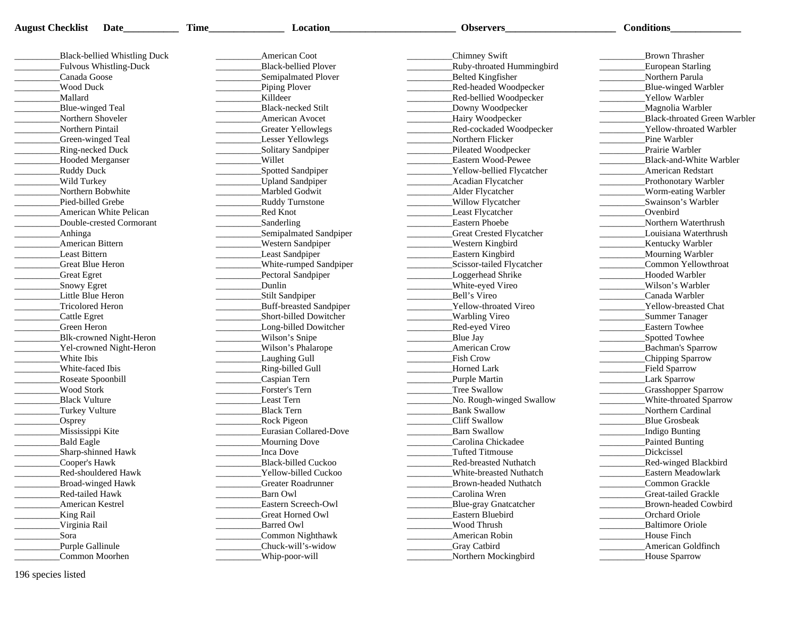| <b>August Checklist</b> | Date_                        | <b>Time</b> | <b>Location</b>                | Observers                                    | <b>Conditions</b>             |
|-------------------------|------------------------------|-------------|--------------------------------|----------------------------------------------|-------------------------------|
|                         | Black-bellied Whistling Duck |             | American Coot                  | Chimney Swift                                | <b>Brown Thrasher</b>         |
|                         | Fulvous Whistling-Duck       |             | <b>Black-bellied Plover</b>    | _Ruby-throated Hummingbird                   | European Starling             |
| Canada Goose            |                              |             | Semipalmated Plover            | Belted Kingfisher                            | Northern Parula               |
|                         |                              |             |                                |                                              |                               |
| <b>Wood Duck</b>        |                              |             | Piping Plover                  | Red-headed Woodpecker                        | Blue-winged Warbler           |
| Mallard                 |                              |             | <b>Killdeer</b>                | _Red-bellied Woodpecker                      | Yellow Warbler                |
| Blue-winged Teal        |                              |             | Black-necked Stilt             | Downy Woodpecker                             | Magnolia Warbler              |
| Northern Shoveler       |                              |             | American Avocet                | Hairy Woodpecker                             | Black-throated Green Warbler  |
| Northern Pintail        |                              |             | Greater Yellowlegs             | _Red-cockaded Woodpecker                     | Yellow-throated Warbler       |
|                         | Green-winged Teal            |             | Lesser Yellowlegs              | Northern Flicker                             | Pine Warbler                  |
| Ring-necked Duck        |                              |             | Solitary Sandpiper             | Pileated Woodpecker                          | Prairie Warbler               |
|                         | Hooded Merganser             |             | <b>Willet</b>                  | Eastern Wood-Pewee                           | Black-and-White Warbler       |
| Ruddy Duck              |                              |             | Spotted Sandpiper              | Yellow-bellied Flycatcher                    | <b>American Redstart</b>      |
| Wild Turkey             |                              |             | <b>Upland Sandpiper</b>        | Acadian Flycatcher                           | Prothonotary Warbler          |
|                         | Northern Bobwhite            |             | Marbled Godwit                 | Alder Flycatcher                             | Worm-eating Warbler           |
| Pied-billed Grebe       |                              |             | <b>Ruddy Turnstone</b>         | Willow Flycatcher                            | Swainson's Warbler            |
|                         | American White Pelican       |             | Red Knot                       | Least Flycatcher                             | Ovenbird                      |
|                         | Double-crested Cormorant     |             | Sanderling                     | Eastern Phoebe                               | Northern Waterthrush          |
| Anhinga                 |                              |             | Semipalmated Sandpiper         | <b>Great Crested Flycatcher</b>              | Louisiana Waterthrush         |
| American Bittern        |                              |             | <b>Western Sandpiper</b>       | Western Kingbird                             | Kentucky Warbler              |
| <b>Least Bittern</b>    |                              |             | Least Sandpiper                | <b>Eastern Kingbird</b>                      | Mourning Warbler              |
| Great Blue Heron        |                              |             | White-rumped Sandpiper         | Scissor-tailed Flycatcher                    | Common Yellowthroat           |
| <b>Great Egret</b>      |                              |             | Pectoral Sandpiper             | Loggerhead Shrike                            | <b>Hooded Warbler</b>         |
| Snowy Egret             |                              |             | Dunlin                         | White-eyed Vireo                             | Wilson's Warbler              |
| Little Blue Heron       |                              |             | Stilt Sandpiper                | Bell's Vireo                                 | Canada Warbler                |
| Tricolored Heron        |                              |             | <b>Buff-breasted Sandpiper</b> | Yellow-throated Vireo                        | Yellow-breasted Chat          |
| Cattle Egret            |                              |             | Short-billed Dowitcher         | Warbling Vireo                               | Summer Tanager                |
| Green Heron             |                              |             | Long-billed Dowitcher          | Red-eyed Vireo                               | Eastern Towhee                |
|                         | Blk-crowned Night-Heron      |             | Wilson's Snipe                 | Blue Jay                                     | Spotted Towhee                |
|                         | Yel-crowned Night-Heron      |             | Wilson's Phalarope             | American Crow                                | Bachman's Sparrow             |
| White Ibis              |                              |             | Laughing Gull                  | <b>Fish Crow</b>                             | Chipping Sparrow              |
| White-faced Ibis        |                              |             | Ring-billed Gull               | Horned Lark                                  | Field Sparrow                 |
| Roseate Spoonbill       |                              |             | Caspian Tern                   | Purple Martin                                | Lark Sparrow                  |
| <b>Wood Stork</b>       |                              |             | Forster's Tern                 | Tree Swallow                                 | <b>Grasshopper Sparrow</b>    |
| <b>Black Vulture</b>    |                              |             | Least Tern                     | No. Rough-winged Swallow                     | White-throated Sparrow        |
| Turkey Vulture          |                              |             | Black Tern                     | Bank Swallow                                 | Northern Cardinal             |
|                         |                              |             |                                | Cliff Swallow                                | Blue Grosbeak                 |
| $\sqrt{\text{Osprey}}$  |                              |             | <b>Rock Pigeon</b>             | <b>Barn Swallow</b>                          |                               |
| Mississippi Kite        |                              |             | Eurasian Collared-Dove         |                                              | Indigo Bunting                |
| <b>Bald Eagle</b>       |                              |             | Mourning Dove                  | Carolina Chickadee<br><b>Tufted Titmouse</b> | Painted Bunting<br>Dickcissel |
|                         | Sharp-shinned Hawk           |             | Inca Dove                      |                                              |                               |
| Cooper's Hawk           |                              |             | Black-billed Cuckoo            | Red-breasted Nuthatch                        | <b>Red-winged Blackbird</b>   |
|                         | Red-shouldered Hawk          |             | Yellow-billed Cuckoo           | White-breasted Nuthatch                      | Eastern Meadowlark            |
|                         | Broad-winged Hawk            |             | Greater Roadrunner             | Brown-headed Nuthatch                        | Common Grackle                |
| <b>Red-tailed Hawk</b>  |                              |             | Barn Owl                       | Carolina Wren                                | Great-tailed Grackle          |
| American Kestrel        |                              |             | Eastern Screech-Owl            | Blue-gray Gnatcatcher                        | <b>Brown-headed Cowbird</b>   |
| King Rail               |                              |             | Great Horned Owl               | Eastern Bluebird                             | Orchard Oriole                |
| Virginia Rail           |                              |             | Barred Owl                     | Wood Thrush                                  | <b>Baltimore Oriole</b>       |
| Sora                    |                              |             | Common Nighthawk               | American Robin                               | House Finch                   |
| Purple Gallinule        |                              |             | Chuck-will's-widow             | <b>Gray Catbird</b>                          | American Goldfinch            |
|                         | Common Moorhen               |             | Whip-poor-will                 | Northern Mockingbird                         | House Sparrow                 |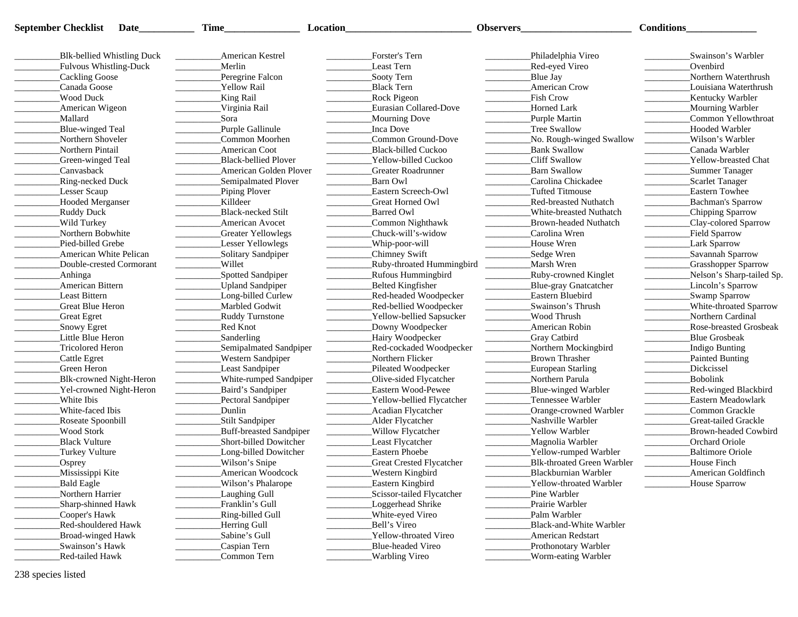| <b>September Checklist</b><br>Date | Time                                                                                                                                                                                                                                                                                                                                                                                                                                              | Location                                          | <b>Observers</b>                            | <b>Conditions</b>                                                      |
|------------------------------------|---------------------------------------------------------------------------------------------------------------------------------------------------------------------------------------------------------------------------------------------------------------------------------------------------------------------------------------------------------------------------------------------------------------------------------------------------|---------------------------------------------------|---------------------------------------------|------------------------------------------------------------------------|
|                                    |                                                                                                                                                                                                                                                                                                                                                                                                                                                   |                                                   |                                             |                                                                        |
| Blk-bellied Whistling Duck         | American Kestrel                                                                                                                                                                                                                                                                                                                                                                                                                                  | Forster's Tern                                    | Philadelphia Vireo                          | Swainson's Warbler                                                     |
| Fulvous Whistling-Duck             | Merlin                                                                                                                                                                                                                                                                                                                                                                                                                                            | Least Tern                                        | Red-eyed Vireo                              | Ovenbird                                                               |
| Cackling Goose                     | Peregrine Falcon                                                                                                                                                                                                                                                                                                                                                                                                                                  | Sooty Tern                                        | Blue Jay                                    | Northern Waterthrush                                                   |
| Canada Goose                       | Yellow Rail                                                                                                                                                                                                                                                                                                                                                                                                                                       | <b>Black Tern</b>                                 | American Crow                               | Louisiana Waterthrush                                                  |
| Wood Duck                          | King Rail                                                                                                                                                                                                                                                                                                                                                                                                                                         | <b>Rock Pigeon</b>                                | <b>Fish Crow</b>                            | <b>Kentucky Warbler</b>                                                |
| American Wigeon                    | Virginia Rail                                                                                                                                                                                                                                                                                                                                                                                                                                     | Eurasian Collared-Dove                            | Horned Lark                                 | _Mourning Warbler                                                      |
| Mallard                            | Sora                                                                                                                                                                                                                                                                                                                                                                                                                                              | Mourning Dove                                     | Purple Martin                               | Common Yellowthroat                                                    |
| Blue-winged Teal                   | Purple Gallinule                                                                                                                                                                                                                                                                                                                                                                                                                                  | <b>Inca Dove</b>                                  | Tree Swallow                                | <b>Hooded Warbler</b>                                                  |
| Northern Shoveler                  | Common Moorhen                                                                                                                                                                                                                                                                                                                                                                                                                                    | Common Ground-Dove                                | No. Rough-winged Swallow                    | Wilson's Warbler                                                       |
| Northern Pintail                   | American Coot                                                                                                                                                                                                                                                                                                                                                                                                                                     | <b>Black-billed Cuckoo</b>                        | Bank Swallow                                | Canada Warbler                                                         |
| Green-winged Teal                  | <b>Black-bellied Plover</b>                                                                                                                                                                                                                                                                                                                                                                                                                       | _Yellow-billed Cuckoo                             | <b>Cliff Swallow</b>                        | _Yellow-breasted Chat                                                  |
| Canvasback                         | American Golden Plover                                                                                                                                                                                                                                                                                                                                                                                                                            | <b>Greater Roadrunner</b>                         | Barn Swallow                                | Summer Tanager                                                         |
| <b>Ring-necked Duck</b>            | Semipalmated Plover                                                                                                                                                                                                                                                                                                                                                                                                                               | Barn Owl                                          | Carolina Chickadee                          | Scarlet Tanager                                                        |
| Lesser Scaup                       | Piping Plover                                                                                                                                                                                                                                                                                                                                                                                                                                     | Eastern Screech-Owl                               | Tufted Titmouse                             | Eastern Towhee                                                         |
| Hooded Merganser                   | Killdeer                                                                                                                                                                                                                                                                                                                                                                                                                                          | Great Horned Owl                                  | Red-breasted Nuthatch                       | Bachman's Sparrow                                                      |
| <b>Ruddy Duck</b>                  | Black-necked Stilt                                                                                                                                                                                                                                                                                                                                                                                                                                | Barred Owl                                        | White-breasted Nuthatch                     | Chipping Sparrow                                                       |
| Wild Turkey                        | <b>American Avocet</b>                                                                                                                                                                                                                                                                                                                                                                                                                            | Common Nighthawk                                  | Brown-headed Nuthatch                       | _Clay-colored Sparrow                                                  |
| Northern Bobwhite                  | Greater Yellowlegs                                                                                                                                                                                                                                                                                                                                                                                                                                | Chuck-will's-widow                                | Carolina Wren                               | Field Sparrow                                                          |
| Pied-billed Grebe                  | Lesser Yellowlegs                                                                                                                                                                                                                                                                                                                                                                                                                                 | Whip-poor-will                                    | House Wren                                  | Lark Sparrow<br>$\frac{1}{2}$ . The set of $\mathcal{O}(\mathbb{R}^d)$ |
| American White Pelican             | Solitary Sandpiper<br>$\sim$ 100 $\mu$                                                                                                                                                                                                                                                                                                                                                                                                            | Chimney Swift                                     | Sedge Wren                                  | Savannah Sparrow                                                       |
| Double-crested Cormorant           | Willet                                                                                                                                                                                                                                                                                                                                                                                                                                            | Ruby-throated Hummingbird                         | Marsh Wren                                  | _Grasshopper Sparrow                                                   |
| Anhinga                            | Spotted Sandpiper                                                                                                                                                                                                                                                                                                                                                                                                                                 | Rufous Hummingbird                                | <b>Ruby-crowned Kinglet</b>                 | Nelson's Sharp-tailed Sp.                                              |
| American Bittern                   | <b>Upland Sandpiper</b><br>$\begin{tabular}{ccccc} \multicolumn{2}{c }{\textbf{1} & \textbf{2} & \textbf{3} & \textbf{4} & \textbf{5} & \textbf{5} & \textbf{6} & \textbf{6} & \textbf{7} & \textbf{8} & \textbf{8} & \textbf{9} & \textbf{10} & \textbf{10} & \textbf{10} & \textbf{10} & \textbf{10} & \textbf{10} & \textbf{10} & \textbf{10} & \textbf{10} & \textbf{10} & \textbf{10} & \textbf{10} & \textbf{10} & \textbf{10} & \textbf{1$ | <b>Belted Kingfisher</b>                          | Blue-gray Gnatcatcher                       | Lincoln's Sparrow                                                      |
| <b>Least Bittern</b>               | Long-billed Curlew                                                                                                                                                                                                                                                                                                                                                                                                                                | Red-headed Woodpecker                             | Eastern Bluebird                            | Swamp Sparrow                                                          |
| Great Blue Heron                   | Marbled Godwit                                                                                                                                                                                                                                                                                                                                                                                                                                    | Red-bellied Woodpecker                            | Swainson's Thrush                           | White-throated Sparrow                                                 |
| Great Egret                        | <b>Ruddy Turnstone</b>                                                                                                                                                                                                                                                                                                                                                                                                                            | Yellow-bellied Sapsucker                          | Wood Thrush                                 | Northern Cardinal                                                      |
| Snowy Egret                        | Red Knot                                                                                                                                                                                                                                                                                                                                                                                                                                          | Downy Woodpecker                                  | American Robin                              | Rose-breasted Grosbeak                                                 |
| Little Blue Heron                  | _Sanderling                                                                                                                                                                                                                                                                                                                                                                                                                                       | Hairy Woodpecker                                  | <b>Gray Catbird</b>                         | Blue Grosbeak                                                          |
| <b>Tricolored Heron</b>            | Semipalmated Sandpiper                                                                                                                                                                                                                                                                                                                                                                                                                            | Red-cockaded Woodpecker                           | Northern Mockingbird                        | _Indigo Bunting                                                        |
| Cattle Egret                       | <b>Western Sandpiper</b>                                                                                                                                                                                                                                                                                                                                                                                                                          | Northern Flicker                                  | <b>Brown Thrasher</b>                       | Painted Bunting                                                        |
| Green Heron                        | Least Sandpiper                                                                                                                                                                                                                                                                                                                                                                                                                                   | Pileated Woodpecker                               | <b>European Starling</b>                    | Dickcissel                                                             |
| Blk-crowned Night-Heron            | White-rumped Sandpiper                                                                                                                                                                                                                                                                                                                                                                                                                            | Olive-sided Flycatcher                            | Northern Parula                             | Bobolink                                                               |
| <b>Yel-crowned Night-Heron</b>     | Baird's Sandpiper                                                                                                                                                                                                                                                                                                                                                                                                                                 | Eastern Wood-Pewee                                | Blue-winged Warbler                         | _Red-winged Blackbird                                                  |
| White Ibis                         | Pectoral Sandpiper                                                                                                                                                                                                                                                                                                                                                                                                                                | Yellow-bellied Flycatcher                         | Tennessee Warbler                           | Eastern Meadowlark                                                     |
| White-faced Ibis                   | Dunlin                                                                                                                                                                                                                                                                                                                                                                                                                                            |                                                   |                                             |                                                                        |
| Roseate Spoonbill                  | Stilt Sandpiper                                                                                                                                                                                                                                                                                                                                                                                                                                   | Acadian Flycatcher<br>Alder Flycatcher            | Orange-crowned Warbler<br>Nashville Warbler | Common Grackle<br>Great-tailed Grackle                                 |
| Wood Stork                         |                                                                                                                                                                                                                                                                                                                                                                                                                                                   |                                                   | <b>Yellow Warbler</b>                       |                                                                        |
| <b>Black Vulture</b>               | <b>Buff-breasted Sandpiper</b><br>Short-billed Dowitcher                                                                                                                                                                                                                                                                                                                                                                                          | Willow Flycatcher<br>Least Flycatcher             | Magnolia Warbler                            | Brown-headed Cowbird                                                   |
|                                    |                                                                                                                                                                                                                                                                                                                                                                                                                                                   | <b>Contract Contract</b>                          |                                             | Orchard Oriole                                                         |
| Turkey Vulture                     | Long-billed Dowitcher                                                                                                                                                                                                                                                                                                                                                                                                                             | Eastern Phoebe<br><b>Great Crested Flycatcher</b> | Yellow-rumped Warbler                       | <b>Baltimore Oriole</b>                                                |
| _Osprey                            | Wilson's Snipe                                                                                                                                                                                                                                                                                                                                                                                                                                    |                                                   | Blk-throated Green Warbler                  | House Finch                                                            |
| Mississippi Kite                   | American Woodcock                                                                                                                                                                                                                                                                                                                                                                                                                                 | Western Kingbird                                  | Blackburnian Warbler                        | American Goldfinch                                                     |
| <b>Bald Eagle</b>                  | Wilson's Phalarope                                                                                                                                                                                                                                                                                                                                                                                                                                | Eastern Kingbird                                  | Yellow-throated Warbler                     | House Sparrow                                                          |
| Northern Harrier                   | Laughing Gull                                                                                                                                                                                                                                                                                                                                                                                                                                     | Scissor-tailed Flycatcher                         | Pine Warbler                                |                                                                        |
| Sharp-shinned Hawk                 | Franklin's Gull                                                                                                                                                                                                                                                                                                                                                                                                                                   | Loggerhead Shrike                                 | Prairie Warbler                             |                                                                        |
| Cooper's Hawk                      | Ring-billed Gull                                                                                                                                                                                                                                                                                                                                                                                                                                  | White-eyed Vireo                                  | Palm Warbler                                |                                                                        |
| Red-shouldered Hawk                | Herring Gull                                                                                                                                                                                                                                                                                                                                                                                                                                      | Bell's Vireo                                      | Black-and-White Warbler                     |                                                                        |
| <b>Broad-winged Hawk</b>           | Sabine's Gull                                                                                                                                                                                                                                                                                                                                                                                                                                     | Yellow-throated Vireo                             | American Redstart                           |                                                                        |
| Swainson's Hawk                    | Caspian Tern                                                                                                                                                                                                                                                                                                                                                                                                                                      | Blue-headed Vireo                                 | Prothonotary Warbler                        |                                                                        |
| Red-tailed Hawk                    | Common Tern                                                                                                                                                                                                                                                                                                                                                                                                                                       | <b>Warbling Vireo</b>                             | Worm-eating Warbler                         |                                                                        |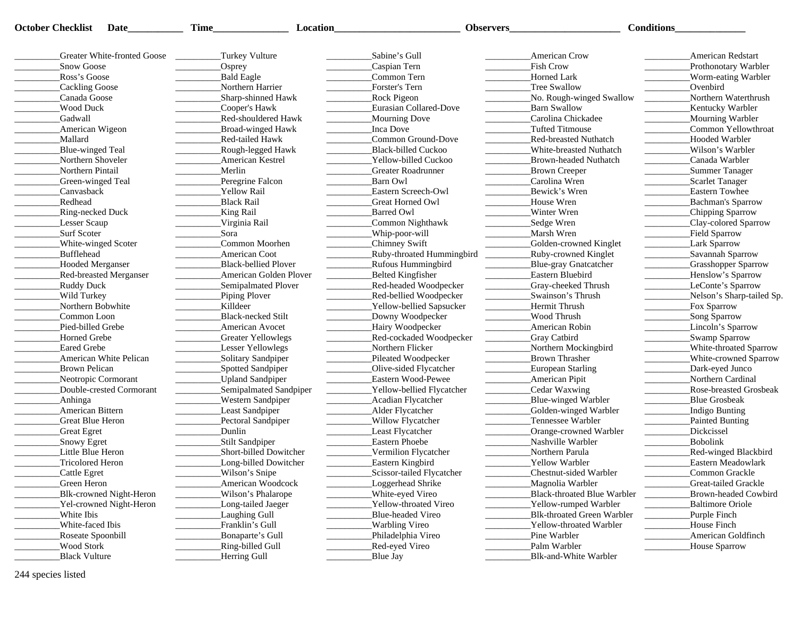| <b>October Checklist</b> | Date                               | Time_                                  | Location               |                           | <b>Observers</b>            | <b>Conditions</b>                        |
|--------------------------|------------------------------------|----------------------------------------|------------------------|---------------------------|-----------------------------|------------------------------------------|
|                          | <b>Greater White-fronted Goose</b> | Turkey Vulture                         |                        | Sabine's Gull             | American Crow               | <b>American Redstart</b>                 |
| <b>Snow Goose</b>        |                                    | $\sqrt{\text{Osprey}}$                 |                        | Caspian Tern              | <b>Fish Crow</b>            | Prothonotary Warbler                     |
| Ross's Goose             |                                    | Bald Eagle                             |                        | Common Tern               | Horned Lark                 | Worm-eating Warbler                      |
| Cackling Goose           |                                    | Northern Harrier                       |                        | Forster's Tern            | Tree Swallow                | Ovenbird                                 |
| Canada Goose             |                                    | Sharp-shinned Hawk                     |                        | <b>Rock Pigeon</b>        | No. Rough-winged Swallow    | Northern Waterthrush                     |
| <b>Wood Duck</b>         |                                    | Cooper's Hawk                          |                        | Eurasian Collared-Dove    | <b>Barn Swallow</b>         | <b>Kentucky Warbler</b>                  |
| Gadwall                  |                                    | Red-shouldered Hawk                    |                        | Mourning Dove             | Carolina Chickadee          | _Mourning Warbler                        |
| American Wigeon          |                                    | <b>Broad-winged Hawk</b>               |                        | Inca Dove                 | <b>Tufted Titmouse</b>      | Common Yellowthroat                      |
| Mallard                  |                                    | Red-tailed Hawk                        |                        | Common Ground-Dove        | Red-breasted Nuthatch       | Hooded Warbler                           |
| Blue-winged Teal         |                                    | Rough-legged Hawk                      |                        | Black-billed Cuckoo       | White-breasted Nuthatch     | Wilson's Warbler                         |
| Northern Shoveler        |                                    | American Kestrel                       |                        | Yellow-billed Cuckoo      | Brown-headed Nuthatch       | Canada Warbler                           |
| Northern Pintail         |                                    | Merlin                                 |                        | <b>Greater Roadrunner</b> | <b>Brown Creeper</b>        | Summer Tanager                           |
| Green-winged Teal        |                                    | Peregrine Falcon                       |                        | Barn Owl                  | Carolina Wren               | Scarlet Tanager                          |
| Canvasback               |                                    | Yellow Rail                            |                        | Eastern Screech-Owl       | Bewick's Wren               | <b>Eastern Towhee</b>                    |
| Redhead                  |                                    | <b>Black Rail</b>                      |                        | Great Horned Owl          | House Wren                  | Bachman's Sparrow                        |
| <b>Ring-necked Duck</b>  |                                    | King Rail                              |                        | <b>Barred Owl</b>         | Winter Wren                 | _Chipping Sparrow                        |
| Lesser Scaup             |                                    | Virginia Rail                          |                        | Common Nighthawk          | Sedge Wren                  | _Clay-colored Sparrow                    |
| Surf Scoter              |                                    | Sora                                   |                        | Whip-poor-will            | Marsh Wren                  | Field Sparrow                            |
| White-winged Scoter      |                                    | Common Moorhen                         |                        | Chimney Swift             | Golden-crowned Kinglet      | Lark Sparrow                             |
| Bufflehead               |                                    | <b>American Coot</b>                   |                        | Ruby-throated Hummingbird | _Ruby-crowned Kinglet       | _Savannah Sparrow                        |
| Hooded Merganser         |                                    | <b>Black-bellied Plover</b>            |                        | <b>Rufous Hummingbird</b> | Blue-gray Gnatcatcher       | <b>Grasshopper Sparrow</b>               |
|                          | <b>Red-breasted Merganser</b>      |                                        | American Golden Plover | Belted Kingfisher         | Eastern Bluebird            | _Henslow's Sparrow                       |
| Ruddy Duck               |                                    | Semipalmated Plover                    |                        | Red-headed Woodpecker     | Gray-cheeked Thrush         | LeConte's Sparrow                        |
| Wild Turkey              |                                    | Piping Plover                          |                        | Red-bellied Woodpecker    | Swainson's Thrush           | Nelson's Sharp-tailed Sp.                |
| Northern Bobwhite        |                                    | Killdeer                               |                        | Yellow-bellied Sapsucker  | Hermit Thrush               | Fox Sparrow                              |
| Common Loon              |                                    | <b>Black-necked Stilt</b>              |                        | Downy Woodpecker          | Wood Thrush                 | Song Sparrow<br><b>Contract Contract</b> |
| Pied-billed Grebe        |                                    | American Avocet                        |                        | Hairy Woodpecker          | American Robin              | Lincoln's Sparrow                        |
| <b>Horned Grebe</b>      |                                    | Greater Yellowlegs                     |                        | Red-cockaded Woodpecker   | <b>Gray Catbird</b>         | _Swamp Sparrow                           |
| <b>Eared Grebe</b>       |                                    | Lesser Yellowlegs                      |                        | Northern Flicker          | Northern Mockingbird        | White-throated Sparrow                   |
|                          | American White Pelican             | Solitary Sandpiper<br>$\sim$ 100 $\mu$ |                        | Pileated Woodpecker       | Brown Thrasher              | White-crowned Sparrow                    |
| <b>Brown Pelican</b>     |                                    | Spotted Sandpiper                      |                        | Olive-sided Flycatcher    | <b>European Starling</b>    | Dark-eyed Junco                          |
| Neotropic Cormorant      |                                    | <b>Upland Sandpiper</b>                |                        | Eastern Wood-Pewee        | <b>American Pipit</b>       | Northern Cardinal                        |
|                          | Double-crested Cormorant           |                                        | Semipalmated Sandpiper | Yellow-bellied Flycatcher | Cedar Waxwing               | Rose-breasted Grosbeak                   |
| Anhinga                  |                                    | <b>Western Sandpiper</b>               |                        | Acadian Flycatcher        | Blue-winged Warbler         | Blue Grosbeak                            |
| American Bittern         |                                    | Least Sandpiper                        |                        | Alder Flycatcher          | Golden-winged Warbler       | Indigo Bunting                           |
| <b>Great Blue Heron</b>  |                                    | Pectoral Sandpiper                     |                        | Willow Flycatcher         | Tennessee Warbler           | Painted Bunting                          |
| Great Egret              |                                    | Dunlin                                 |                        | Least Flycatcher          | Orange-crowned Warbler      | <b>Dickcissel</b>                        |
| Snowy Egret              |                                    | Stilt Sandpiper                        |                        | <b>Eastern Phoebe</b>     | Nashville Warbler           | Bobolink                                 |
| Little Blue Heron        |                                    | Short-billed Dowitcher                 |                        | Vermilion Flycatcher      | Northern Parula             | <b>Red-winged Blackbird</b>              |
| Tricolored Heron         |                                    | Long-billed Dowitcher                  |                        | <b>Eastern Kingbird</b>   | <b>Yellow Warbler</b>       | Eastern Meadowlark                       |
| Cattle Egret             |                                    | Wilson's Snipe                         |                        | Scissor-tailed Flycatcher | Chestnut-sided Warbler      | Common Grackle                           |
| Green Heron              |                                    | <b>American Woodcock</b>               |                        | Loggerhead Shrike         | Magnolia Warbler            | Great-tailed Grackle                     |
|                          | Blk-crowned Night-Heron            | Wilson's Phalarope                     |                        | White-eyed Vireo          | Black-throated Blue Warbler | Brown-headed Cowbird                     |
|                          | Yel-crowned Night-Heron            | Long-tailed Jaeger                     |                        | Yellow-throated Vireo     | Yellow-rumped Warbler       | <b>Baltimore Oriole</b>                  |
| White Ibis               |                                    | Laughing Gull                          |                        | Blue-headed Vireo         | Blk-throated Green Warbler  | Purple Finch                             |
| White-faced Ibis         |                                    | Franklin's Gull                        |                        | <b>Warbling Vireo</b>     | Yellow-throated Warbler     | House Finch                              |
| Roseate Spoonbill        |                                    | Bonaparte's Gull                       |                        | Philadelphia Vireo        | Pine Warbler                | American Goldfinch                       |
| <b>Wood Stork</b>        |                                    | Ring-billed Gull                       |                        | Red-eyed Vireo            | Palm Warbler                | House Sparrow                            |
| <b>Black Vulture</b>     |                                    | Herring Gull                           |                        | Blue Jay                  | Blk-and-White Warbler       |                                          |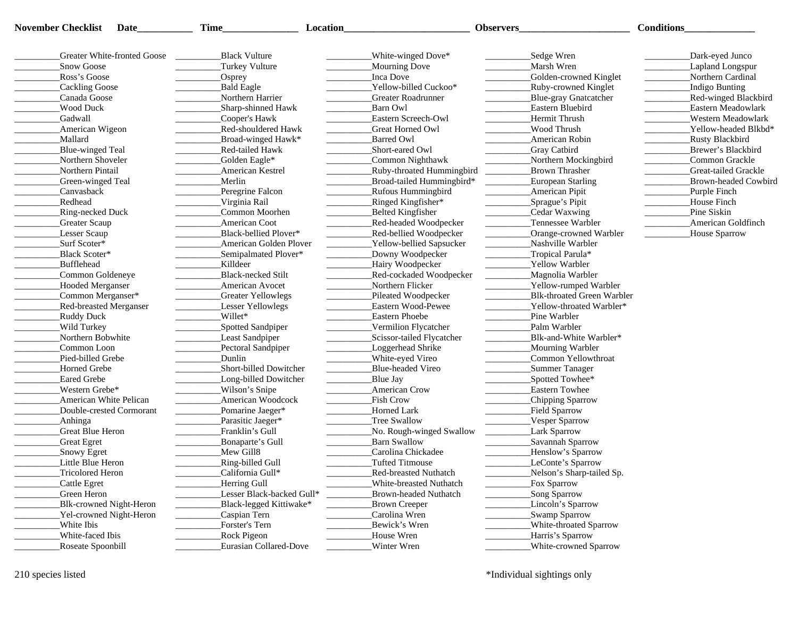| November Checklist<br>Date    | Time                                      | Location                     | <b>Observers</b>            | Conditions             |
|-------------------------------|-------------------------------------------|------------------------------|-----------------------------|------------------------|
| Greater White-fronted Goose   | <b>Black Vulture</b>                      | White-winged Dove*           | _Sedge Wren                 | Dark-eyed Junco        |
| <b>Snow Goose</b>             | Turkey Vulture                            | Mourning Dove                | Marsh Wren                  | Lapland Longspur       |
| Ross's Goose                  | _Osprey                                   | Inca Dove                    | Golden-crowned Kinglet      | Northern Cardinal      |
| Cackling Goose                | <b>Bald Eagle</b>                         | Yellow-billed Cuckoo*        | Ruby-crowned Kinglet        | Indigo Bunting         |
| Canada Goose                  | Northern Harrier                          | Greater Roadrunner           | Blue-gray Gnatcatcher       | Red-winged Blackbird   |
| Wood Duck                     | Sharp-shinned Hawk                        | Barn Owl                     | Eastern Bluebird            | Eastern Meadowlark     |
| Gadwall                       | Cooper's Hawk                             | Eastern Screech-Owl          | Hermit Thrush               | Western Meadowlark     |
| American Wigeon               | Red-shouldered Hawk                       | Great Horned Owl             | Wood Thrush                 | Yellow-headed Blkbd*   |
| Mallard                       | Broad-winged Hawk*                        | <b>Barred Owl</b>            | American Robin              | <b>Rusty Blackbird</b> |
| Blue-winged Teal              | Red-tailed Hawk                           | Short-eared Owl              | Gray Catbird                | Brewer's Blackbird     |
| Northern Shoveler             | Golden Eagle*                             | Common Nighthawk             | Northern Mockingbird        | Common Grackle         |
| Northern Pintail              | <b>American Kestrel</b>                   | Ruby-throated Hummingbird    | Brown Thrasher              | Great-tailed Grackle   |
|                               |                                           |                              |                             | Brown-headed Cowbird   |
| Green-winged Teal             | Merlin                                    | Broad-tailed Hummingbird*    | European Starling           |                        |
| Canvasback                    | Peregrine Falcon                          | <b>Rufous Hummingbird</b>    | American Pipit              | Purple Finch           |
| Redhead                       | Virginia Rail                             | Ringed Kingfisher*           | Sprague's Pipit             | House Finch            |
| Ring-necked Duck              | Common Moorhen                            | Belted Kingfisher            | Cedar Waxwing               | Pine Siskin            |
| <b>Greater Scaup</b>          | American Coot                             | Red-headed Woodpecker        | Tennessee Warbler           | American Goldfinch     |
| Lesser Scaup                  | Black-bellied Plover*                     | Red-bellied Woodpecker       | Orange-crowned Warbler      | House Sparrow          |
| Surf Scoter*                  | American Golden Plover                    | Yellow-bellied Sapsucker     | Nashville Warbler           |                        |
| <b>Black Scoter*</b>          | Semipalmated Plover*                      | Downy Woodpecker             | Tropical Parula*            |                        |
| Bufflehead                    | Killdeer                                  | Hairy Woodpecker             | <b>Yellow Warbler</b>       |                        |
| Common Goldeneye              | <b>Black-necked Stilt</b>                 | Red-cockaded Woodpecker      | Magnolia Warbler            |                        |
| Hooded Merganser              | American Avocet                           | Northern Flicker             | Yellow-rumped Warbler       |                        |
| _Common Merganser*            | Greater Yellowlegs                        | Pileated Woodpecker          | Blk-throated Green Warbler  |                        |
| <b>Red-breasted Merganser</b> | Lesser Yellowlegs                         | Eastern Wood-Pewee           | Yellow-throated Warbler*    |                        |
| Ruddy Duck                    | Willet*                                   | Eastern Phoebe               | Pine Warbler                |                        |
| Wild Turkey                   | Spotted Sandpiper                         | Vermilion Flycatcher         | Palm Warbler                |                        |
| Northern Bobwhite             | Least Sandpiper                           | Scissor-tailed Flycatcher    | Blk-and-White Warbler*      |                        |
| Common Loon                   | Pectoral Sandpiper                        | Loggerhead Shrike            | <b>Mourning Warbler</b>     |                        |
| Pied-billed Grebe             | Dunlin                                    | White-eyed Vireo             | Common Yellowthroat         |                        |
| Horned Grebe                  | Short-billed Dowitcher                    | Blue-headed Vireo            | Summer Tanager              |                        |
| Eared Grebe                   | Long-billed Dowitcher                     | Blue Jay                     | Spotted Towhee*             |                        |
| Western Grebe*                | Wilson's Snipe                            | American Crow                | <b>Eastern Towhee</b>       |                        |
| American White Pelican        | American Woodcock                         | <b>Fish Crow</b>             | Chipping Sparrow            |                        |
| Double-crested Cormorant      | Pomarine Jaeger*                          | Horned Lark                  | <b>Field Sparrow</b>        |                        |
| _Anhinga                      | Parasitic Jaeger*                         | Tree Swallow                 | Vesper Sparrow              |                        |
| Great Blue Heron              | Franklin's Gull                           | No. Rough-winged Swallow     | Lark Sparrow                |                        |
| Great Egret                   | Bonaparte's Gull                          | Barn Swallow                 | Savannah Sparrow            |                        |
| Snowy Egret                   | Mew Gill8                                 | Carolina Chickadee           | Henslow's Sparrow           |                        |
| Little Blue Heron             | Ring-billed Gull                          | <b>Tufted Titmouse</b>       | LeConte's Sparrow           |                        |
| <b>Tricolored Heron</b>       | California Gull*                          | <b>Red-breasted Nuthatch</b> | Nelson's Sharp-tailed Sp.   |                        |
|                               |                                           | White-breasted Nuthatch      |                             |                        |
| Cattle Egret                  | Herring Gull<br>Lesser Black-backed Gull* |                              | Fox Sparrow<br>Song Sparrow |                        |
| Green Heron                   |                                           | Brown-headed Nuthatch        |                             |                        |
| Blk-crowned Night-Heron       | Black-legged Kittiwake*                   | <b>Brown Creeper</b>         | Lincoln's Sparrow           |                        |
| Yel-crowned Night-Heron       | Caspian Tern                              | Carolina Wren                | Swamp Sparrow               |                        |
| White Ibis                    | Forster's Tern                            | Bewick's Wren                | White-throated Sparrow      |                        |
| White-faced Ibis              | Rock Pigeon                               | House Wren                   | Harris's Sparrow            |                        |
| Roseate Spoonbill             | Eurasian Collared-Dove                    | Winter Wren                  | White-crowned Sparrow       |                        |